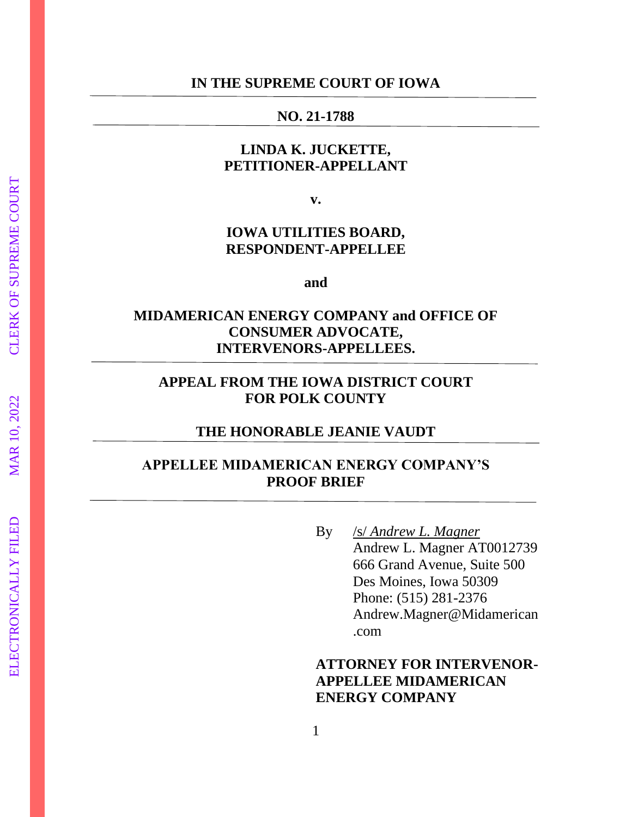#### **IN THE SUPREME COURT OF IOWA**

#### **NO. 21 -1788**

# **LINDA K. JUCKETTE, PETITIONER -APPELLANT**

**v.**

## **IOWA UTILITIES BOARD, RESPONDENT -APPELLEE**

**and**

# **MIDAMERICAN ENERGY COMPANY and OFFICE OF CONSUMER ADVOCATE, INTERVENORS -APPELLEES.**

## **APPEAL FROM THE IOWA DISTRICT COURT FOR POLK COUNTY**

#### **THE HONORABLE JEANIE VAUDT**

## **APPELLEE MIDAMERICAN ENERGY COMPANY'S PROOF BRIEF**

By /s/ *Andrew L. Magner*  Andrew L. Magner AT0012739 666 Grand Avenue, Suite 500 Des Moines, Iowa 50309 Phone: (515) 281 -2376 Andrew.Magner@Midamerican .com

# **ATTORNEY FOR INTERVENOR - APPELLEE MIDAMERICAN ENERGY COMPANY**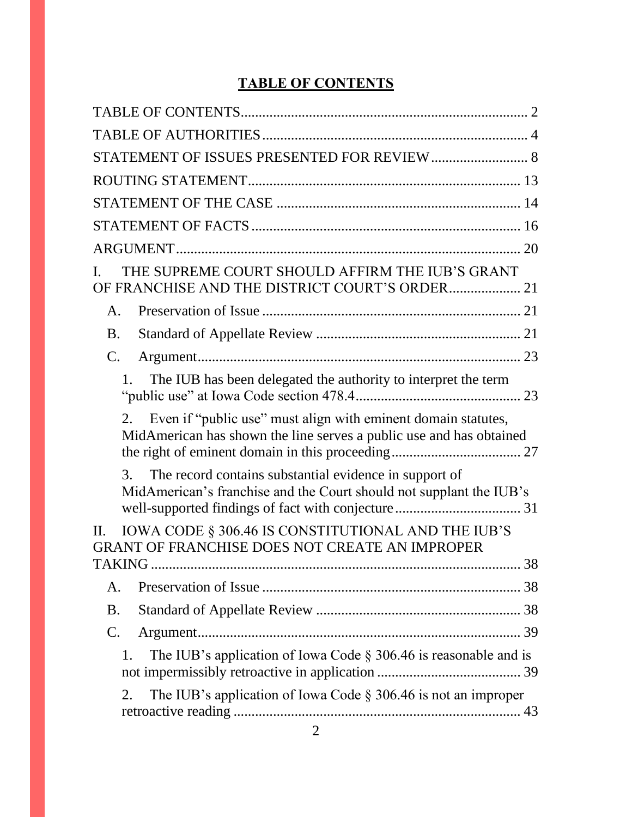# **TABLE OF CONTENTS**

<span id="page-1-0"></span>

| STATEMENT OF ISSUES PRESENTED FOR REVIEW 8                                                                                                 |
|--------------------------------------------------------------------------------------------------------------------------------------------|
|                                                                                                                                            |
|                                                                                                                                            |
|                                                                                                                                            |
|                                                                                                                                            |
| THE SUPREME COURT SHOULD AFFIRM THE IUB'S GRANT<br>OF FRANCHISE AND THE DISTRICT COURT'S ORDER 21                                          |
| A.                                                                                                                                         |
| <b>B.</b>                                                                                                                                  |
| $\mathbf{C}$ .                                                                                                                             |
| The IUB has been delegated the authority to interpret the term                                                                             |
| Even if "public use" must align with eminent domain statutes,<br>2.<br>MidAmerican has shown the line serves a public use and has obtained |
| The record contains substantial evidence in support of<br>3.<br>MidAmerican's franchise and the Court should not supplant the IUB's        |
| IOWA CODE § 306.46 IS CONSTITUTIONAL AND THE IUB'S<br>П.<br>GRANT OF FRANCHISE DOES NOT CREATE AN IMPROPER                                 |
|                                                                                                                                            |
| A.                                                                                                                                         |
| <b>B.</b>                                                                                                                                  |
| $\mathcal{C}$ .                                                                                                                            |
| The IUB's application of Iowa Code $\S$ 306.46 is reasonable and is<br>1.                                                                  |
| The IUB's application of Iowa Code $\S 306.46$ is not an improper<br>2.                                                                    |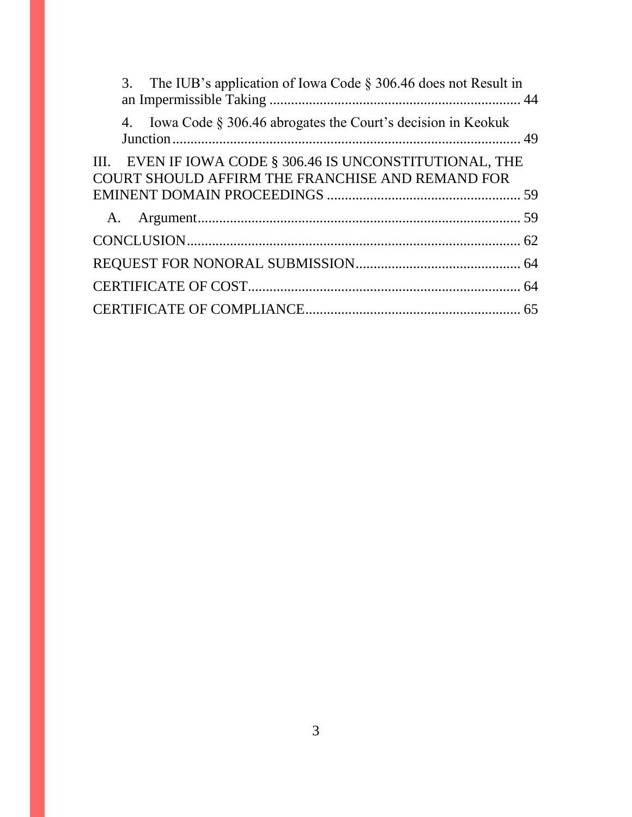| 3. The IUB's application of Iowa Code $\S 306.46$ does not Result in                                         |  |
|--------------------------------------------------------------------------------------------------------------|--|
| 4. Iowa Code § 306.46 abrogates the Court's decision in Keokuk                                               |  |
| III. EVEN IF IOWA CODE § 306.46 IS UNCONSTITUTIONAL, THE<br>COURT SHOULD AFFIRM THE FRANCHISE AND REMAND FOR |  |
|                                                                                                              |  |
|                                                                                                              |  |
|                                                                                                              |  |
|                                                                                                              |  |
|                                                                                                              |  |
|                                                                                                              |  |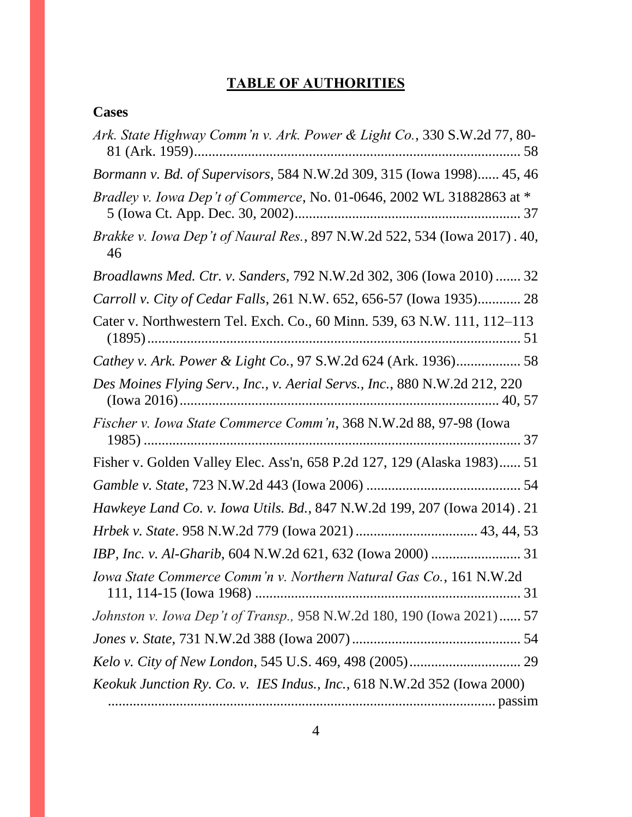# **TABLE OF AUTHORITIES**

# <span id="page-3-0"></span>**Cases**

| Ark. State Highway Comm'n v. Ark. Power & Light Co., 330 S.W.2d 77, 80-                 |
|-----------------------------------------------------------------------------------------|
| Bormann v. Bd. of Supervisors, 584 N.W.2d 309, 315 (Iowa 1998) 45, 46                   |
| <i>Bradley v. Iowa Dep't of Commerce, No. 01-0646, 2002 WL 31882863 at *</i>            |
| <i>Brakke v. Iowa Dep't of Naural Res.</i> , 897 N.W.2d 522, 534 (Iowa 2017). 40,<br>46 |
| Broadlawns Med. Ctr. v. Sanders, 792 N.W.2d 302, 306 (Iowa 2010)  32                    |
| Carroll v. City of Cedar Falls, 261 N.W. 652, 656-57 (Iowa 1935) 28                     |
| Cater v. Northwestern Tel. Exch. Co., 60 Minn. 539, 63 N.W. 111, 112–113                |
| Cathey v. Ark. Power & Light Co., 97 S.W.2d 624 (Ark. 1936) 58                          |
| Des Moines Flying Serv., Inc., v. Aerial Servs., Inc., 880 N.W.2d 212, 220              |
| Fischer v. Iowa State Commerce Comm'n, 368 N.W.2d 88, 97-98 (Iowa                       |
| Fisher v. Golden Valley Elec. Ass'n, 658 P.2d 127, 129 (Alaska 1983) 51                 |
|                                                                                         |
| Hawkeye Land Co. v. Iowa Utils. Bd., 847 N.W.2d 199, 207 (Iowa 2014). 21                |
|                                                                                         |
|                                                                                         |
| Iowa State Commerce Comm'n v. Northern Natural Gas Co., 161 N.W.2d                      |
| Johnston v. Iowa Dep't of Transp., 958 N.W.2d 180, 190 (Iowa 2021) 57                   |
|                                                                                         |
|                                                                                         |
| Keokuk Junction Ry. Co. v. IES Indus., Inc., 618 N.W.2d 352 (Iowa 2000)                 |
|                                                                                         |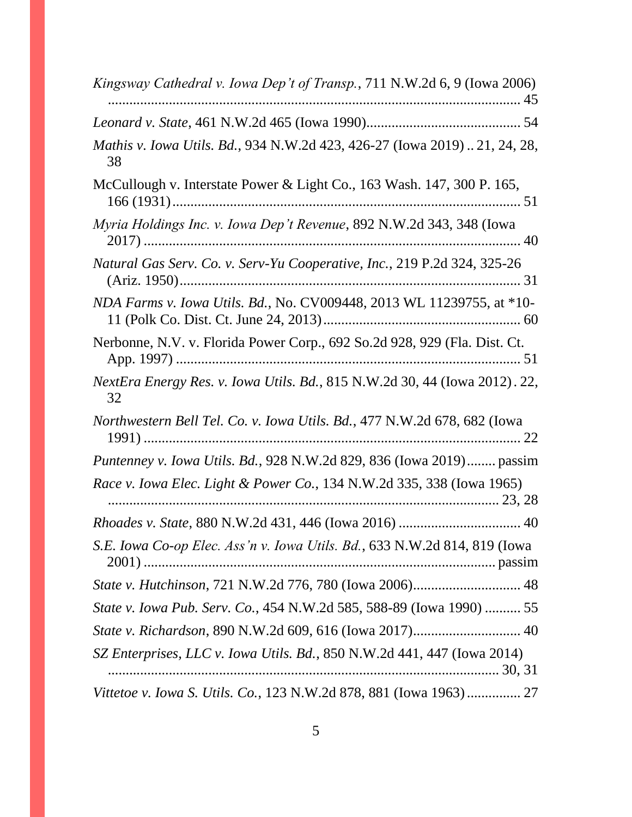| Kingsway Cathedral v. Iowa Dep't of Transp., 711 N.W.2d 6, 9 (Iowa 2006)         |
|----------------------------------------------------------------------------------|
|                                                                                  |
| Mathis v. Iowa Utils. Bd., 934 N.W.2d 423, 426-27 (Iowa 2019)21, 24, 28,<br>38   |
| McCullough v. Interstate Power & Light Co., 163 Wash. 147, 300 P. 165,           |
| Myria Holdings Inc. v. Iowa Dep't Revenue, 892 N.W.2d 343, 348 (Iowa             |
| Natural Gas Serv. Co. v. Serv-Yu Cooperative, Inc., 219 P.2d 324, 325-26         |
| NDA Farms v. Iowa Utils. Bd., No. CV009448, 2013 WL 11239755, at *10-            |
| Nerbonne, N.V. v. Florida Power Corp., 692 So.2d 928, 929 (Fla. Dist. Ct.        |
| NextEra Energy Res. v. Iowa Utils. Bd., 815 N.W.2d 30, 44 (Iowa 2012). 22,<br>32 |
| Northwestern Bell Tel. Co. v. Iowa Utils. Bd., 477 N.W.2d 678, 682 (Iowa         |
| <i>Puntenney v. Iowa Utils. Bd., 928 N.W.2d 829, 836 (Iowa 2019) passim</i>      |
| Race v. Iowa Elec. Light & Power Co., 134 N.W.2d 335, 338 (Iowa 1965)            |
|                                                                                  |
| S.E. Iowa Co-op Elec. Ass'n v. Iowa Utils. Bd., 633 N.W.2d 814, 819 (Iowa        |
| State v. Hutchinson, 721 N.W.2d 776, 780 (Iowa 2006) 48                          |
| State v. Iowa Pub. Serv. Co., 454 N.W.2d 585, 588-89 (Iowa 1990)  55             |
|                                                                                  |
| SZ Enterprises, LLC v. Iowa Utils. Bd., 850 N.W.2d 441, 447 (Iowa 2014)          |
| Vittetoe v. Iowa S. Utils. Co., 123 N.W.2d 878, 881 (Iowa 1963) 27               |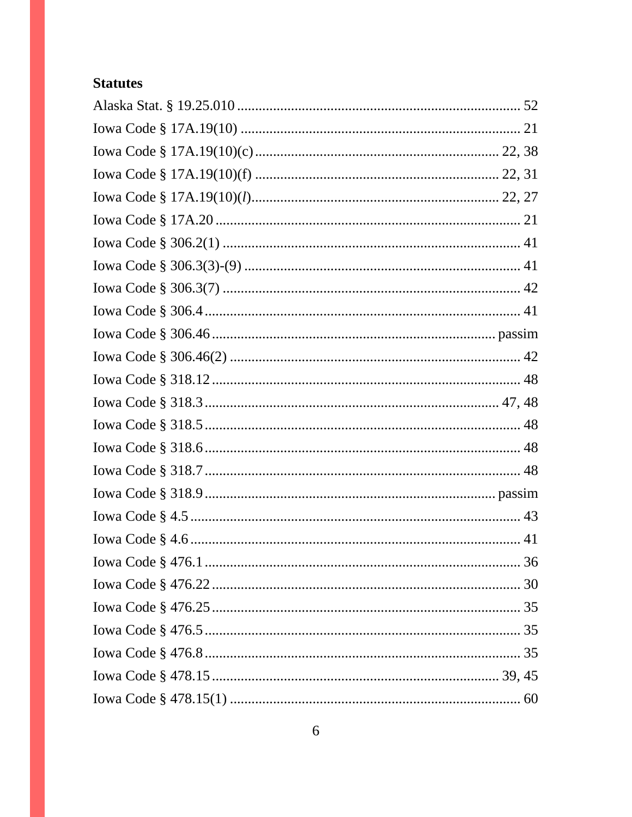# **Statutes**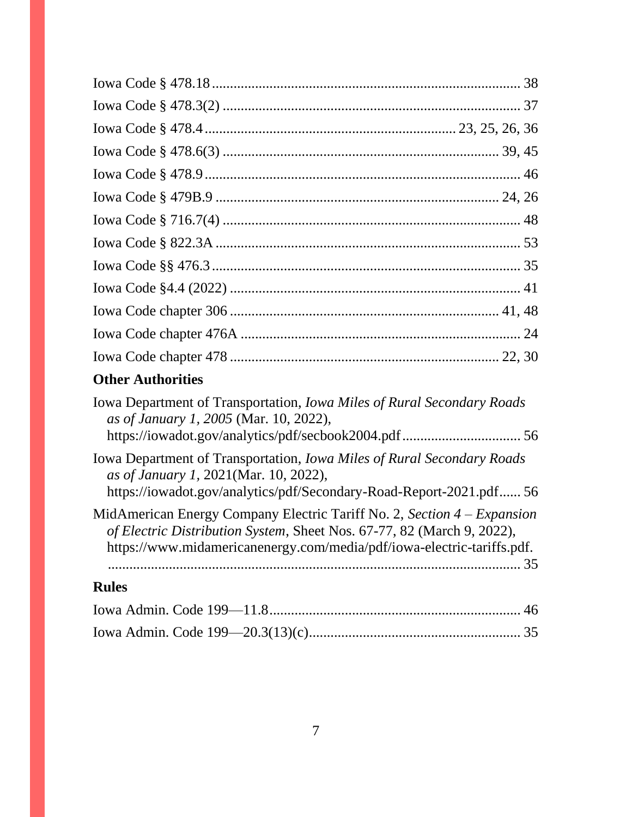# **Other Authorities**

| <b>Iowa Department of Transportation, <i>Iowa Miles of Rural Secondary Roads</i></b><br>as of January 1, 2005 (Mar. 10, 2022),                                                                                                      |
|-------------------------------------------------------------------------------------------------------------------------------------------------------------------------------------------------------------------------------------|
| Iowa Department of Transportation, <i>Iowa Miles of Rural Secondary Roads</i><br>as of January 1, 2021(Mar. 10, 2022),<br>https://iowadot.gov/analytics/pdf/Secondary-Road-Report-2021.pdf56                                        |
| MidAmerican Energy Company Electric Tariff No. 2, Section $4 - Expansion$<br>of Electric Distribution System, Sheet Nos. 67-77, 82 (March 9, 2022),<br>https://www.midamericanenergy.com/media/pdf/iowa-electric-tariffs.pdf.<br>35 |
| <b>Rules</b>                                                                                                                                                                                                                        |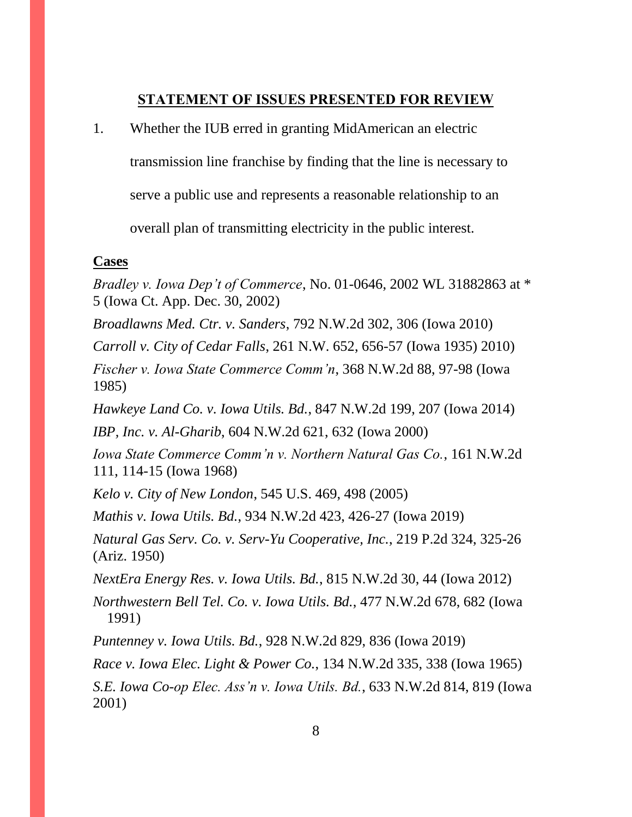#### **STATEMENT OF ISSUES PRESENTED FOR REVIEW**

<span id="page-7-0"></span>1. Whether the IUB erred in granting MidAmerican an electric

transmission line franchise by finding that the line is necessary to

serve a public use and represents a reasonable relationship to an

overall plan of transmitting electricity in the public interest.

#### **Cases**

*Bradley v. Iowa Dep't of Commerce*, No. 01-0646, 2002 WL 31882863 at \* 5 (Iowa Ct. App. Dec. 30, 2002)

*Broadlawns Med. Ctr. v. Sanders*, 792 N.W.2d 302, 306 (Iowa 2010)

*Carroll v. City of Cedar Falls*, 261 N.W. 652, 656-57 (Iowa 1935) 2010)

*Fischer v. Iowa State Commerce Comm'n*, 368 N.W.2d 88, 97-98 (Iowa 1985)

*Hawkeye Land Co. v. Iowa Utils. Bd.*, 847 N.W.2d 199, 207 (Iowa 2014)

*IBP, Inc. v. Al-Gharib*, 604 N.W.2d 621, 632 (Iowa 2000)

*Iowa State Commerce Comm'n v. Northern Natural Gas Co.*, 161 N.W.2d 111, 114-15 (Iowa 1968)

*Kelo v. City of New London*, 545 U.S. 469, 498 (2005)

*Mathis v. Iowa Utils. Bd.*, 934 N.W.2d 423, 426-27 (Iowa 2019)

*Natural Gas Serv. Co. v. Serv-Yu Cooperative, Inc.*, 219 P.2d 324, 325-26 (Ariz. 1950)

*NextEra Energy Res. v. Iowa Utils. Bd.*, 815 N.W.2d 30, 44 (Iowa 2012)

*Northwestern Bell Tel. Co. v. Iowa Utils. Bd.*, 477 N.W.2d 678, 682 (Iowa 1991)

*Puntenney v. Iowa Utils. Bd.*, 928 N.W.2d 829, 836 (Iowa 2019)

*Race v. Iowa Elec. Light & Power Co.*, 134 N.W.2d 335, 338 (Iowa 1965)

*S.E. Iowa Co-op Elec. Ass'n v. Iowa Utils. Bd.*, 633 N.W.2d 814, 819 (Iowa 2001)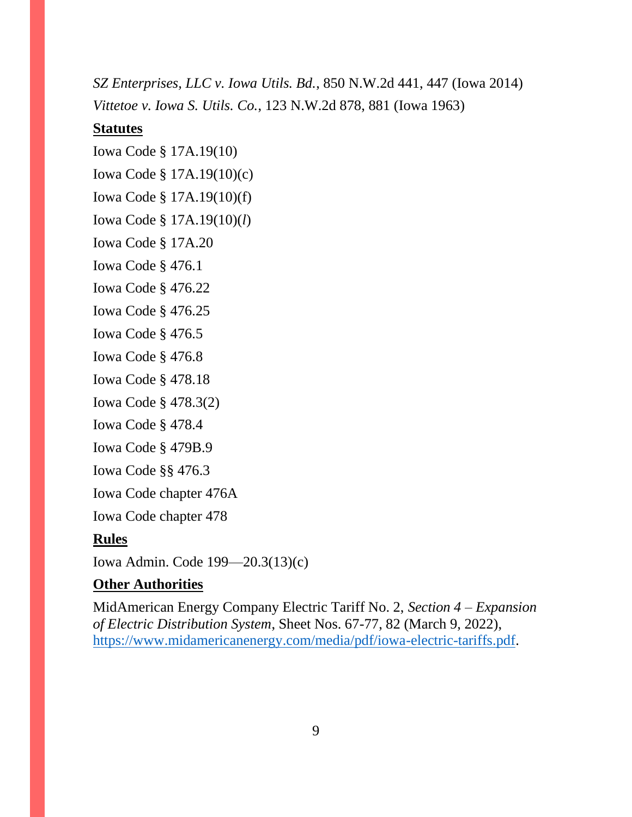*SZ Enterprises, LLC v. Iowa Utils. Bd.*, 850 N.W.2d 441, 447 (Iowa 2014) *Vittetoe v. Iowa S. Utils. Co.*, 123 N.W.2d 878, 881 (Iowa 1963)

# **Statutes**

Iowa Code § 17A.19(10) Iowa Code § 17A.19(10)(c) Iowa Code § 17A.19(10)(f) Iowa Code § 17A.19(10)(*l*) Iowa Code § 17A.20 Iowa Code § 476.1 Iowa Code § 476.22 Iowa Code § 476.25 Iowa Code § 476.5 Iowa Code § 476.8 Iowa Code § 478.18

Iowa Code § 478.3(2)

Iowa Code § 478.4

Iowa Code § 479B.9

Iowa Code §§ 476.3

Iowa Code chapter 476A

Iowa Code chapter 478

# **Rules**

Iowa Admin. Code 199—20.3(13)(c)

# **Other Authorities**

MidAmerican Energy Company Electric Tariff No. 2, *Section 4 – Expansion of Electric Distribution System*, Sheet Nos. 67-77, 82 (March 9, 2022), [https://www.midamericanenergy.com/media/pdf/iowa-electric-tariffs.pdf.](https://www.midamericanenergy.com/media/pdf/iowa-electric-tariffs.pdf)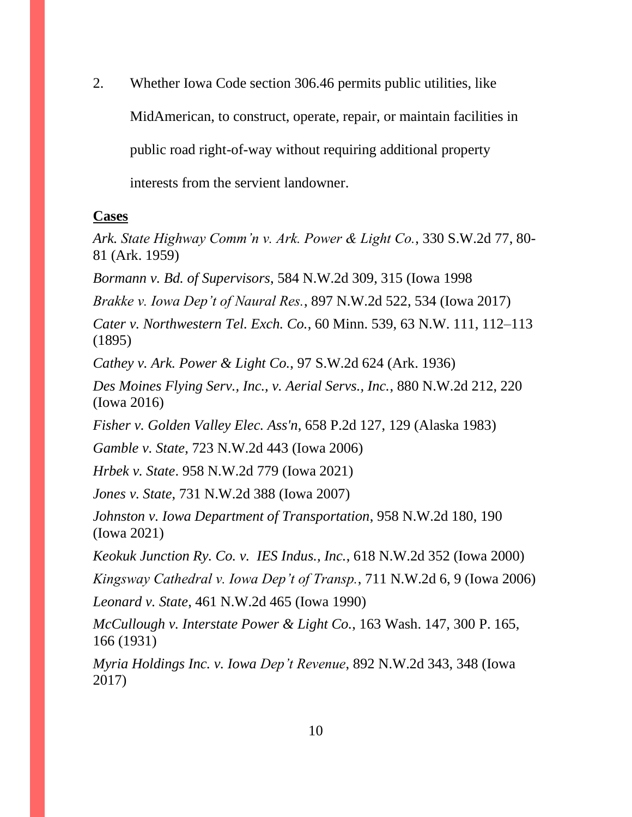2. Whether Iowa Code section 306.46 permits public utilities, like MidAmerican, to construct, operate, repair, or maintain facilities in public road right-of-way without requiring additional property interests from the servient landowner.

#### **Cases**

*Ark. State Highway Comm'n v. Ark. Power & Light Co.*, 330 S.W.2d 77, 80- 81 (Ark. 1959)

*Bormann v. Bd. of Supervisors*, 584 N.W.2d 309, 315 (Iowa 1998

*Brakke v. Iowa Dep't of Naural Res.*, 897 N.W.2d 522, 534 (Iowa 2017)

*Cater v. Northwestern Tel. Exch. Co.*, 60 Minn. 539, 63 N.W. 111, 112–113 (1895)

*Cathey v. Ark. Power & Light Co.*, 97 S.W.2d 624 (Ark. 1936)

*Des Moines Flying Serv., Inc., v. Aerial Servs., Inc.*, 880 N.W.2d 212, 220 (Iowa 2016)

*Fisher v. Golden Valley Elec. Ass'n*, 658 P.2d 127, 129 (Alaska 1983)

*Gamble v. State*, 723 N.W.2d 443 (Iowa 2006)

*Hrbek v. State*. 958 N.W.2d 779 (Iowa 2021)

*Jones v. State*, 731 N.W.2d 388 (Iowa 2007)

*Johnston v. Iowa Department of Transportation*, 958 N.W.2d 180, 190 (Iowa 2021)

*Keokuk Junction Ry. Co. v. IES Indus., Inc.*, 618 N.W.2d 352 (Iowa 2000)

*Kingsway Cathedral v. Iowa Dep't of Transp.*, 711 N.W.2d 6, 9 (Iowa 2006)

*Leonard v. State*, 461 N.W.2d 465 (Iowa 1990)

*McCullough v. Interstate Power & Light Co.*, 163 Wash. 147, 300 P. 165, 166 (1931)

*Myria Holdings Inc. v. Iowa Dep't Revenue*, 892 N.W.2d 343, 348 (Iowa 2017)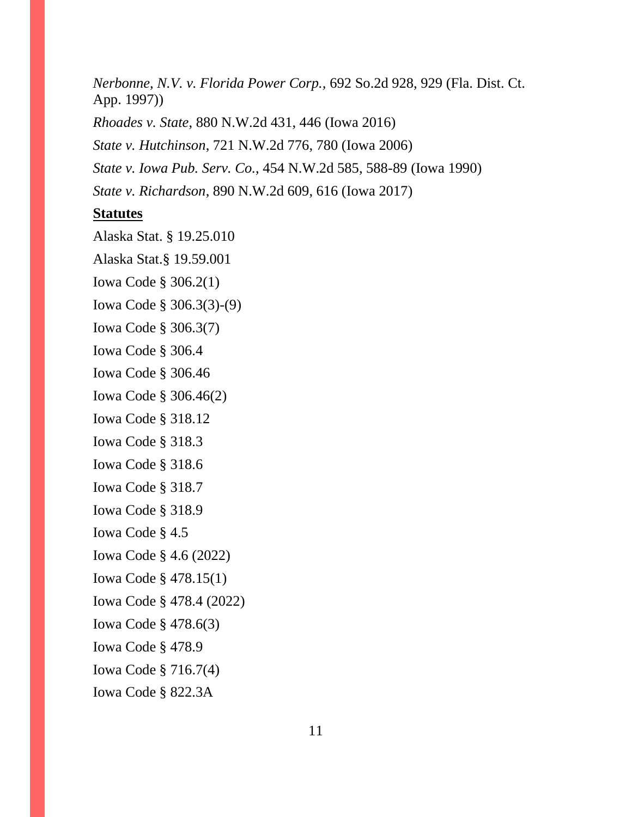*Nerbonne, N.V. v. Florida Power Corp.,* 692 So.2d 928, 929 (Fla. Dist. Ct. App. 1997)) *Rhoades v. State*, 880 N.W.2d 431, 446 (Iowa 2016) *State v. Hutchinson*, 721 N.W.2d 776, 780 (Iowa 2006) *State v. Iowa Pub. Serv. Co.*, 454 N.W.2d 585, 588-89 (Iowa 1990) *State v. Richardson*, 890 N.W.2d 609, 616 (Iowa 2017)

#### **Statutes**

Alaska Stat. § 19.25.010 Alaska Stat.§ 19.59.001 Iowa Code § 306.2(1) Iowa Code § 306.3(3)-(9) Iowa Code § 306.3(7) Iowa Code § 306.4 Iowa Code § 306.46 Iowa Code § 306.46(2) Iowa Code § 318.12 Iowa Code § 318.3 Iowa Code § 318.6 Iowa Code § 318.7 Iowa Code § 318.9 Iowa Code § 4.5 Iowa Code § 4.6 (2022) Iowa Code § 478.15(1) Iowa Code § 478.4 (2022) Iowa Code § 478.6(3) Iowa Code § 478.9 Iowa Code § 716.7(4) Iowa Code § 822.3A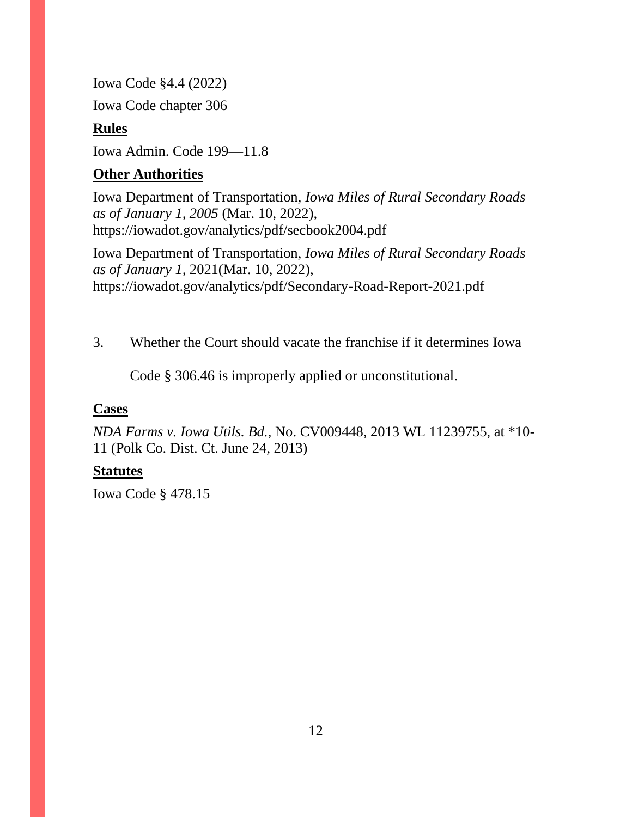Iowa Code §4.4 (2022)

Iowa Code chapter 306

# **Rules**

Iowa Admin. Code 199—11.8

# **Other Authorities**

Iowa Department of Transportation, *Iowa Miles of Rural Secondary Roads as of January 1, 2005* (Mar. 10, 2022), https://iowadot.gov/analytics/pdf/secbook2004.pdf

Iowa Department of Transportation, *Iowa Miles of Rural Secondary Roads as of January 1,* 2021(Mar. 10, 2022), https://iowadot.gov/analytics/pdf/Secondary-Road-Report-2021.pdf

3. Whether the Court should vacate the franchise if it determines Iowa

Code § 306.46 is improperly applied or unconstitutional.

# **Cases**

*NDA Farms v. Iowa Utils. Bd.*, No. CV009448, 2013 WL 11239755, at \*10- 11 (Polk Co. Dist. Ct. June 24, 2013)

# **Statutes**

Iowa Code § 478.15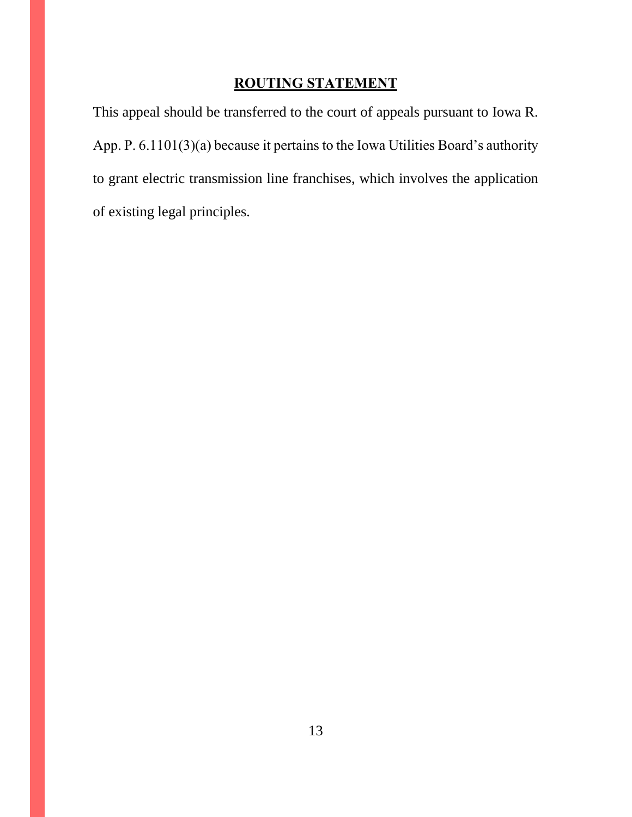# **ROUTING STATEMENT**

<span id="page-12-0"></span>This appeal should be transferred to the court of appeals pursuant to Iowa R. App. P. 6.1101(3)(a) because it pertains to the Iowa Utilities Board's authority to grant electric transmission line franchises, which involves the application of existing legal principles.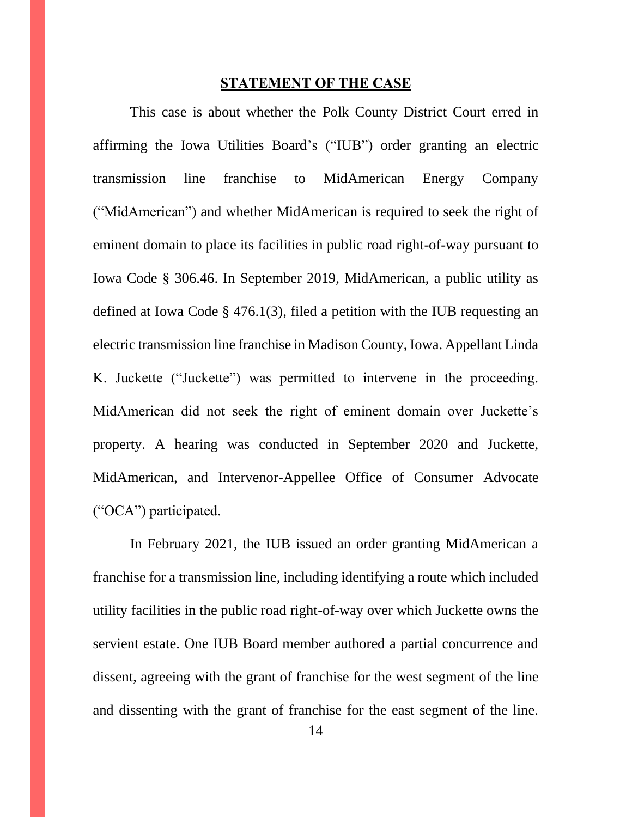#### **STATEMENT OF THE CASE**

<span id="page-13-0"></span>This case is about whether the Polk County District Court erred in affirming the Iowa Utilities Board's ("IUB") order granting an electric transmission line franchise to MidAmerican Energy Company ("MidAmerican") and whether MidAmerican is required to seek the right of eminent domain to place its facilities in public road right-of-way pursuant to Iowa Code § 306.46. In September 2019, MidAmerican, a public utility as defined at Iowa Code § 476.1(3), filed a petition with the IUB requesting an electric transmission line franchise in Madison County, Iowa. Appellant Linda K. Juckette ("Juckette") was permitted to intervene in the proceeding. MidAmerican did not seek the right of eminent domain over Juckette's property. A hearing was conducted in September 2020 and Juckette, MidAmerican, and Intervenor-Appellee Office of Consumer Advocate ("OCA") participated.

In February 2021, the IUB issued an order granting MidAmerican a franchise for a transmission line, including identifying a route which included utility facilities in the public road right-of-way over which Juckette owns the servient estate. One IUB Board member authored a partial concurrence and dissent, agreeing with the grant of franchise for the west segment of the line and dissenting with the grant of franchise for the east segment of the line.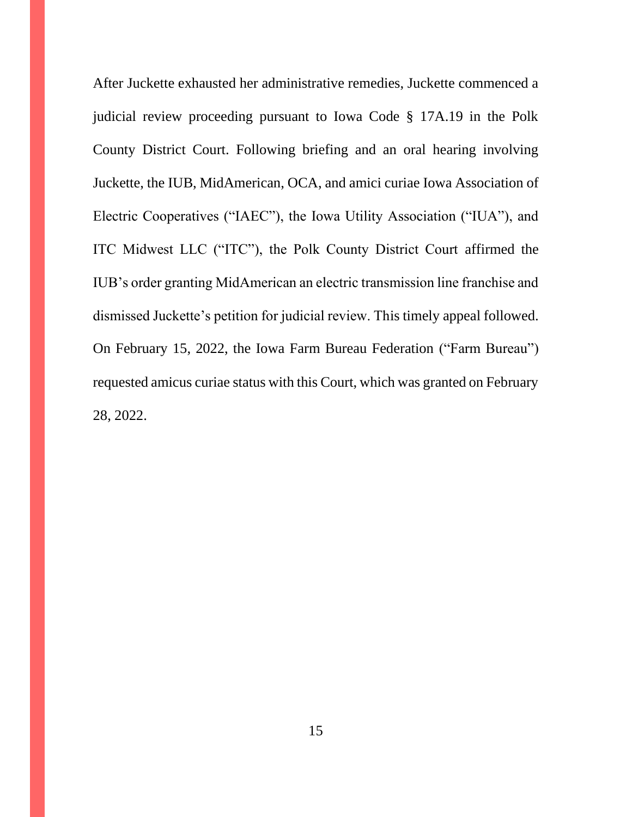After Juckette exhausted her administrative remedies, Juckette commenced a judicial review proceeding pursuant to Iowa Code § 17A.19 in the Polk County District Court. Following briefing and an oral hearing involving Juckette, the IUB, MidAmerican, OCA, and amici curiae Iowa Association of Electric Cooperatives ("IAEC"), the Iowa Utility Association ("IUA"), and ITC Midwest LLC ("ITC"), the Polk County District Court affirmed the IUB's order granting MidAmerican an electric transmission line franchise and dismissed Juckette's petition for judicial review. This timely appeal followed. On February 15, 2022, the Iowa Farm Bureau Federation ("Farm Bureau") requested amicus curiae status with this Court, which was granted on February 28, 2022.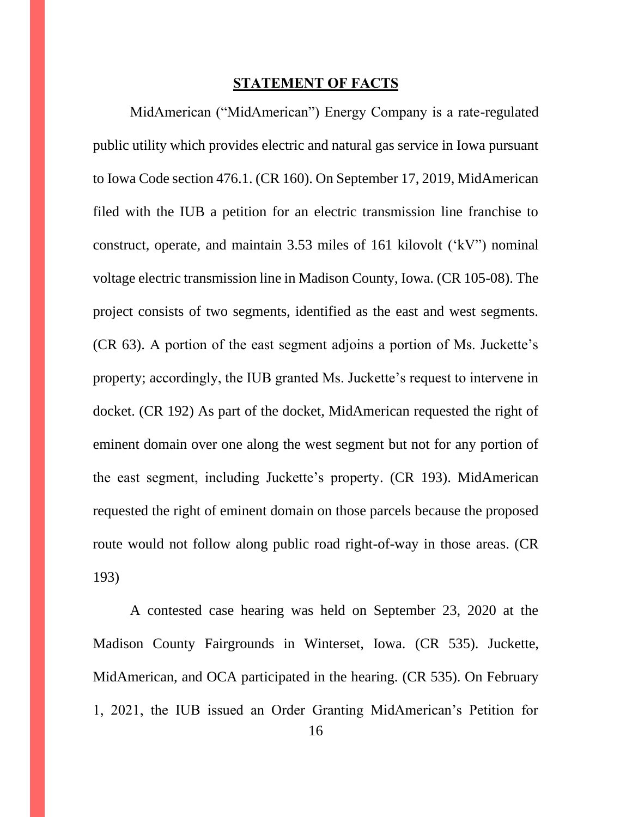#### **STATEMENT OF FACTS**

<span id="page-15-0"></span>MidAmerican ("MidAmerican") Energy Company is a rate-regulated public utility which provides electric and natural gas service in Iowa pursuant to Iowa Code section 476.1. (CR 160). On September 17, 2019, MidAmerican filed with the IUB a petition for an electric transmission line franchise to construct, operate, and maintain 3.53 miles of 161 kilovolt ('kV") nominal voltage electric transmission line in Madison County, Iowa. (CR 105-08). The project consists of two segments, identified as the east and west segments. (CR 63). A portion of the east segment adjoins a portion of Ms. Juckette's property; accordingly, the IUB granted Ms. Juckette's request to intervene in docket. (CR 192) As part of the docket, MidAmerican requested the right of eminent domain over one along the west segment but not for any portion of the east segment, including Juckette's property. (CR 193). MidAmerican requested the right of eminent domain on those parcels because the proposed route would not follow along public road right-of-way in those areas. (CR 193)

A contested case hearing was held on September 23, 2020 at the Madison County Fairgrounds in Winterset, Iowa. (CR 535). Juckette, MidAmerican, and OCA participated in the hearing. (CR 535). On February 1, 2021, the IUB issued an Order Granting MidAmerican's Petition for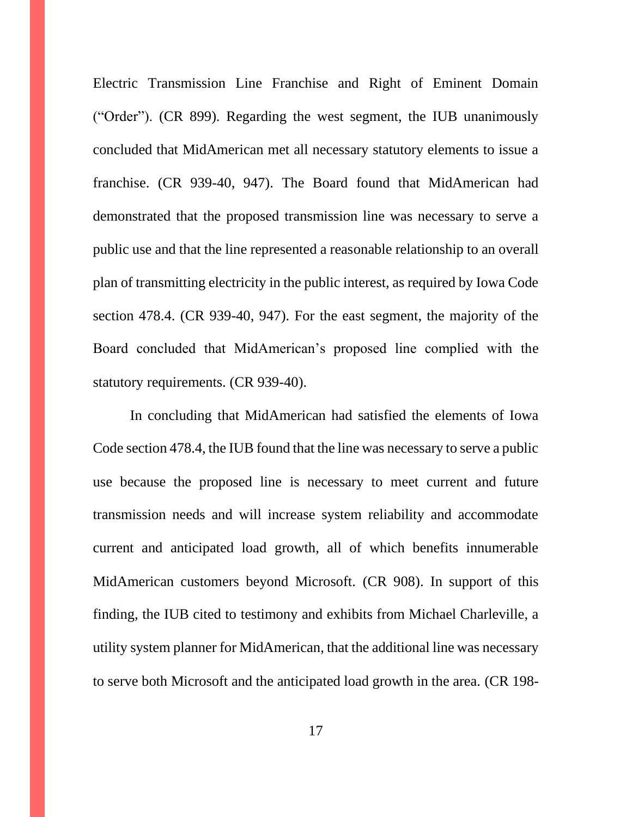Electric Transmission Line Franchise and Right of Eminent Domain ("Order"). (CR 899). Regarding the west segment, the IUB unanimously concluded that MidAmerican met all necessary statutory elements to issue a franchise. (CR 939-40, 947). The Board found that MidAmerican had demonstrated that the proposed transmission line was necessary to serve a public use and that the line represented a reasonable relationship to an overall plan of transmitting electricity in the public interest, as required by Iowa Code section 478.4. (CR 939-40, 947). For the east segment, the majority of the Board concluded that MidAmerican's proposed line complied with the statutory requirements. (CR 939-40).

In concluding that MidAmerican had satisfied the elements of Iowa Code section 478.4, the IUB found that the line was necessary to serve a public use because the proposed line is necessary to meet current and future transmission needs and will increase system reliability and accommodate current and anticipated load growth, all of which benefits innumerable MidAmerican customers beyond Microsoft. (CR 908). In support of this finding, the IUB cited to testimony and exhibits from Michael Charleville, a utility system planner for MidAmerican, that the additional line was necessary to serve both Microsoft and the anticipated load growth in the area. (CR 198-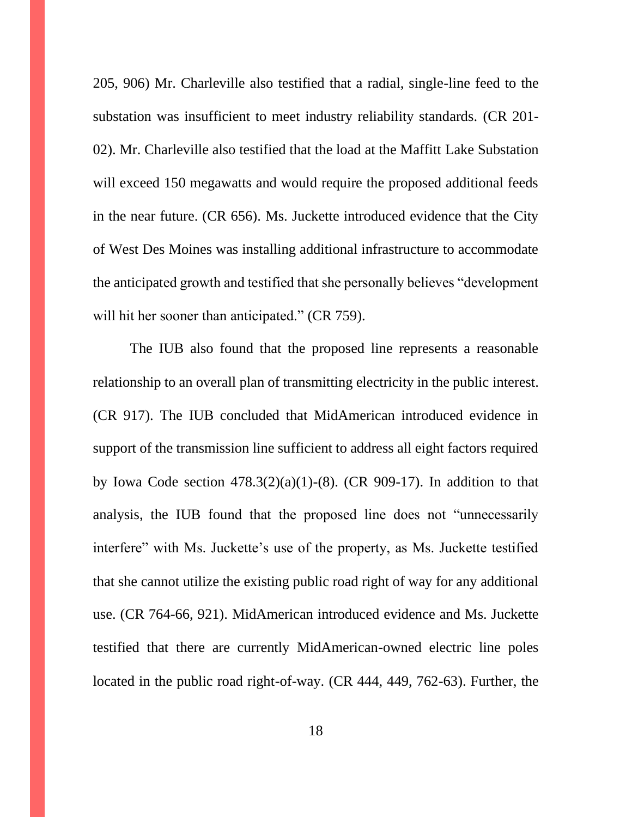205, 906) Mr. Charleville also testified that a radial, single-line feed to the substation was insufficient to meet industry reliability standards. (CR 201- 02). Mr. Charleville also testified that the load at the Maffitt Lake Substation will exceed 150 megawatts and would require the proposed additional feeds in the near future. (CR 656). Ms. Juckette introduced evidence that the City of West Des Moines was installing additional infrastructure to accommodate the anticipated growth and testified that she personally believes "development will hit her sooner than anticipated." (CR 759).

The IUB also found that the proposed line represents a reasonable relationship to an overall plan of transmitting electricity in the public interest. (CR 917). The IUB concluded that MidAmerican introduced evidence in support of the transmission line sufficient to address all eight factors required by Iowa Code section  $478.3(2)(a)(1)-(8)$ . (CR 909-17). In addition to that analysis, the IUB found that the proposed line does not "unnecessarily interfere" with Ms. Juckette's use of the property, as Ms. Juckette testified that she cannot utilize the existing public road right of way for any additional use. (CR 764-66, 921). MidAmerican introduced evidence and Ms. Juckette testified that there are currently MidAmerican-owned electric line poles located in the public road right-of-way. (CR 444, 449, 762-63). Further, the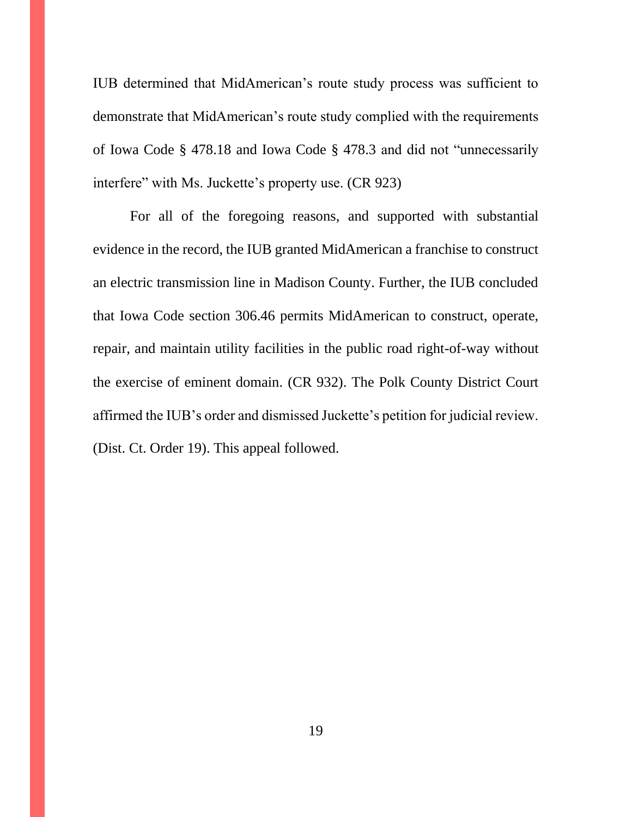IUB determined that MidAmerican's route study process was sufficient to demonstrate that MidAmerican's route study complied with the requirements of Iowa Code § 478.18 and Iowa Code § 478.3 and did not "unnecessarily interfere" with Ms. Juckette's property use. (CR 923)

For all of the foregoing reasons, and supported with substantial evidence in the record, the IUB granted MidAmerican a franchise to construct an electric transmission line in Madison County. Further, the IUB concluded that Iowa Code section 306.46 permits MidAmerican to construct, operate, repair, and maintain utility facilities in the public road right-of-way without the exercise of eminent domain. (CR 932). The Polk County District Court affirmed the IUB's order and dismissed Juckette's petition for judicial review. (Dist. Ct. Order 19). This appeal followed.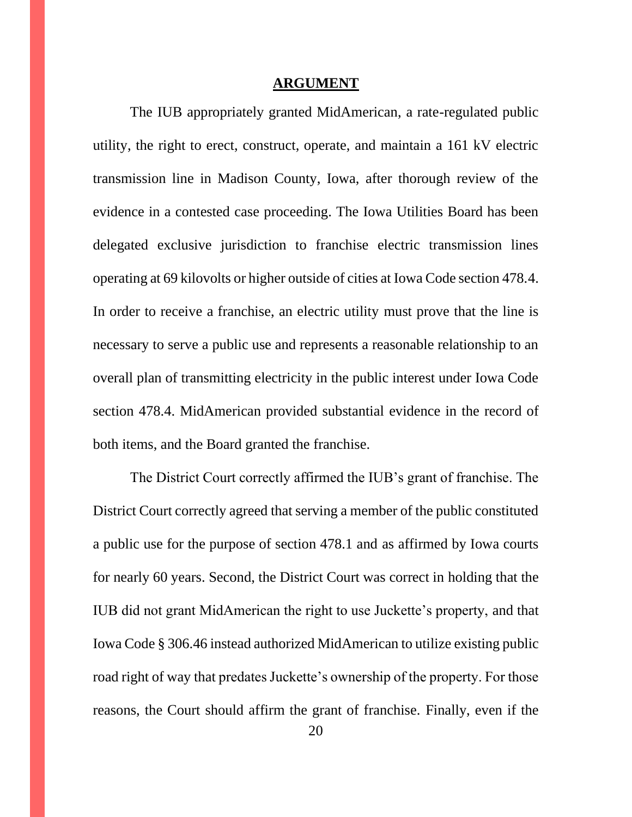#### **ARGUMENT**

<span id="page-19-0"></span>The IUB appropriately granted MidAmerican, a rate-regulated public utility, the right to erect, construct, operate, and maintain a 161 kV electric transmission line in Madison County, Iowa, after thorough review of the evidence in a contested case proceeding. The Iowa Utilities Board has been delegated exclusive jurisdiction to franchise electric transmission lines operating at 69 kilovolts or higher outside of cities at Iowa Code section 478.4. In order to receive a franchise, an electric utility must prove that the line is necessary to serve a public use and represents a reasonable relationship to an overall plan of transmitting electricity in the public interest under Iowa Code section 478.4. MidAmerican provided substantial evidence in the record of both items, and the Board granted the franchise.

The District Court correctly affirmed the IUB's grant of franchise. The District Court correctly agreed that serving a member of the public constituted a public use for the purpose of section 478.1 and as affirmed by Iowa courts for nearly 60 years. Second, the District Court was correct in holding that the IUB did not grant MidAmerican the right to use Juckette's property, and that Iowa Code § 306.46 instead authorized MidAmerican to utilize existing public road right of way that predates Juckette's ownership of the property. For those reasons, the Court should affirm the grant of franchise. Finally, even if the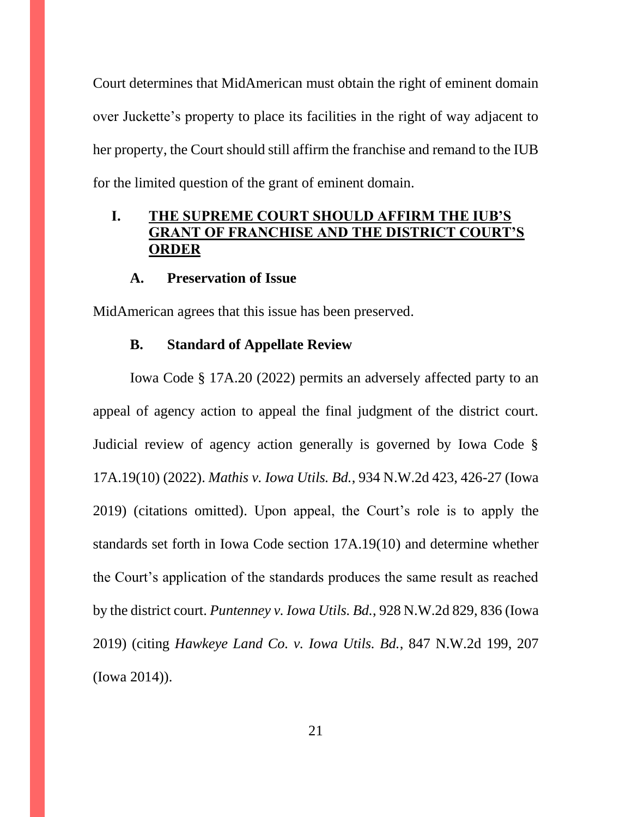Court determines that MidAmerican must obtain the right of eminent domain over Juckette's property to place its facilities in the right of way adjacent to her property, the Court should still affirm the franchise and remand to the IUB for the limited question of the grant of eminent domain.

# <span id="page-20-0"></span>**I. THE SUPREME COURT SHOULD AFFIRM THE IUB'S GRANT OF FRANCHISE AND THE DISTRICT COURT'S ORDER**

#### **A. Preservation of Issue**

<span id="page-20-2"></span><span id="page-20-1"></span>MidAmerican agrees that this issue has been preserved.

#### **B. Standard of Appellate Review**

Iowa Code § 17A.20 (2022) permits an adversely affected party to an appeal of agency action to appeal the final judgment of the district court. Judicial review of agency action generally is governed by Iowa Code § 17A.19(10) (2022). *Mathis v. Iowa Utils. Bd.*, 934 N.W.2d 423, 426-27 (Iowa 2019) (citations omitted). Upon appeal, the Court's role is to apply the standards set forth in Iowa Code section 17A.19(10) and determine whether the Court's application of the standards produces the same result as reached by the district court. *Puntenney v. Iowa Utils. Bd.*, 928 N.W.2d 829, 836 (Iowa 2019) (citing *Hawkeye Land Co. v. Iowa Utils. Bd.*, 847 N.W.2d 199, 207 (Iowa 2014)).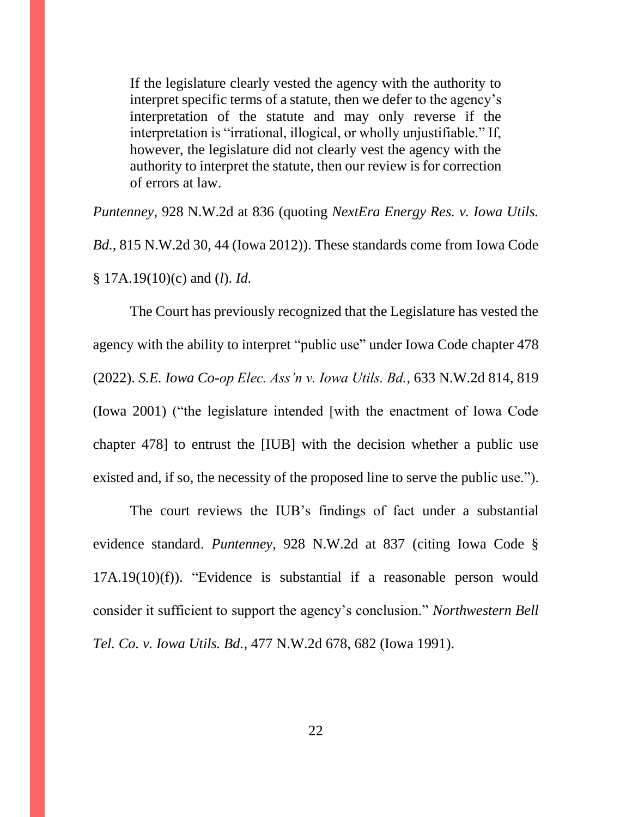If the legislature clearly vested the agency with the authority to interpret specific terms of a statute, then we defer to the agency's interpretation of the statute and may only reverse if the interpretation is "irrational, illogical, or wholly unjustifiable." If, however, the legislature did not clearly vest the agency with the authority to interpret the statute, then our review is for correction of errors at law.

*Puntenney*, 928 N.W.2d at 836 (quoting *NextEra Energy Res. v. Iowa Utils. Bd.*, 815 N.W.2d 30, 44 (Iowa 2012)). These standards come from Iowa Code § 17A.19(10)(c) and (*l*). *Id.*

The Court has previously recognized that the Legislature has vested the agency with the ability to interpret "public use" under Iowa Code chapter 478 (2022). *S.E. Iowa Co-op Elec. Ass'n v. Iowa Utils. Bd.*, 633 N.W.2d 814, 819 (Iowa 2001) ("the legislature intended [with the enactment of Iowa Code chapter 478] to entrust the [IUB] with the decision whether a public use existed and, if so, the necessity of the proposed line to serve the public use.").

The court reviews the IUB's findings of fact under a substantial evidence standard. *Puntenney*, 928 N.W.2d at 837 (citing Iowa Code § 17A.19(10)(f)). "Evidence is substantial if a reasonable person would consider it sufficient to support the agency's conclusion." *Northwestern Bell Tel. Co. v. Iowa Utils. Bd.*, 477 N.W.2d 678, 682 (Iowa 1991).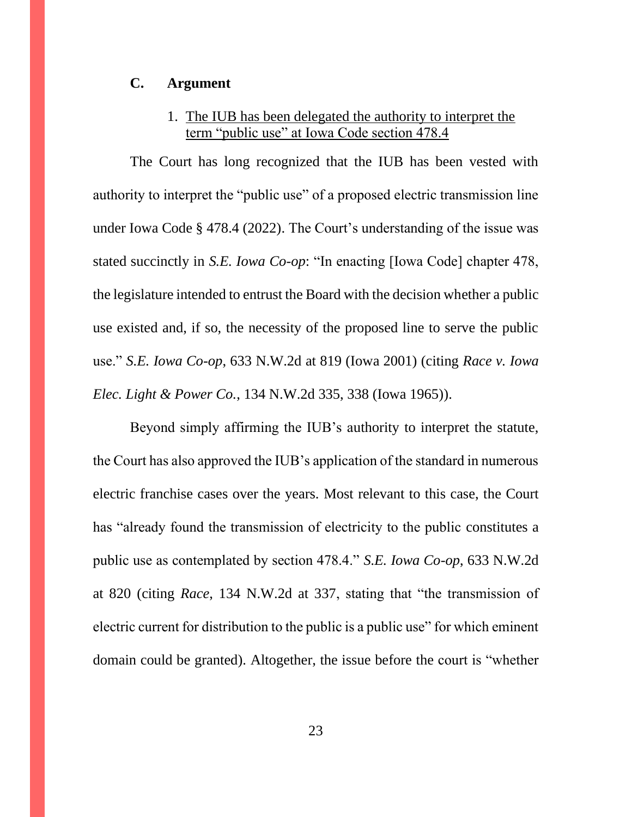#### <span id="page-22-0"></span>**C. Argument**

# 1. The IUB has been delegated the authority to interpret the term "public use" at Iowa Code section 478.4

<span id="page-22-1"></span>The Court has long recognized that the IUB has been vested with authority to interpret the "public use" of a proposed electric transmission line under Iowa Code § 478.4 (2022). The Court's understanding of the issue was stated succinctly in *S.E. Iowa Co-op*: "In enacting [Iowa Code] chapter 478, the legislature intended to entrust the Board with the decision whether a public use existed and, if so, the necessity of the proposed line to serve the public use." *S.E. Iowa Co-op*, 633 N.W.2d at 819 (Iowa 2001) (citing *Race v. Iowa Elec. Light & Power Co.*, 134 N.W.2d 335, 338 (Iowa 1965)).

Beyond simply affirming the IUB's authority to interpret the statute, the Court has also approved the IUB's application of the standard in numerous electric franchise cases over the years. Most relevant to this case, the Court has "already found the transmission of electricity to the public constitutes a public use as contemplated by section 478.4." *S.E. Iowa Co-op*, 633 N.W.2d at 820 (citing *Race*, 134 N.W.2d at 337, stating that "the transmission of electric current for distribution to the public is a public use" for which eminent domain could be granted). Altogether, the issue before the court is "whether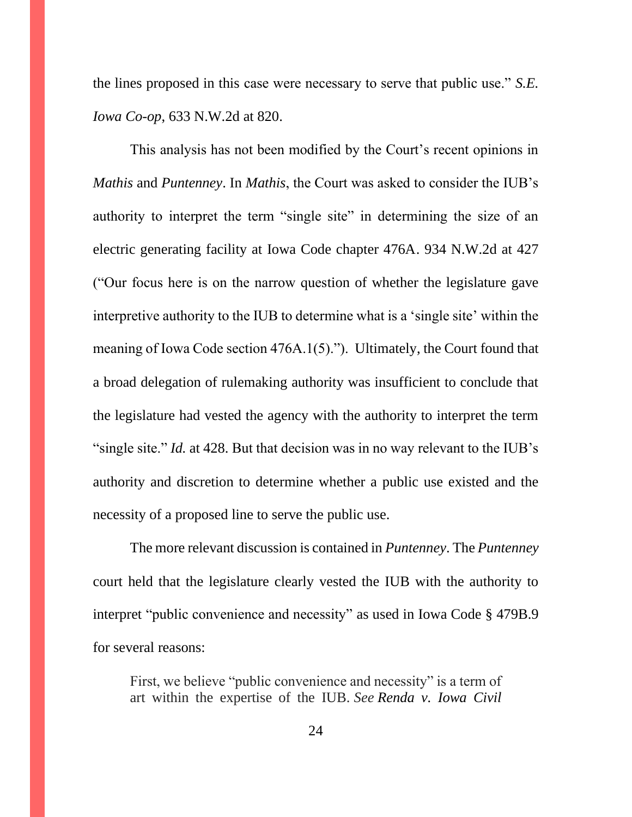the lines proposed in this case were necessary to serve that public use." *S.E. Iowa Co-op*, 633 N.W.2d at 820.

This analysis has not been modified by the Court's recent opinions in *Mathis* and *Puntenney*. In *Mathis*, the Court was asked to consider the IUB's authority to interpret the term "single site" in determining the size of an electric generating facility at Iowa Code chapter 476A. 934 N.W.2d at 427 ("Our focus here is on the narrow question of whether the legislature gave interpretive authority to the IUB to determine what is a 'single site' within the meaning of Iowa Code section 476A.1(5)."). Ultimately, the Court found that a broad delegation of rulemaking authority was insufficient to conclude that the legislature had vested the agency with the authority to interpret the term "single site." *Id.* at 428. But that decision was in no way relevant to the IUB's authority and discretion to determine whether a public use existed and the necessity of a proposed line to serve the public use.

The more relevant discussion is contained in *Puntenney*. The *Puntenney* court held that the legislature clearly vested the IUB with the authority to interpret "public convenience and necessity" as used in Iowa Code § 479B.9 for several reasons:

First, we believe "public convenience and necessity" is a term of art within the expertise of the IUB. *See Renda v. Iowa Civil*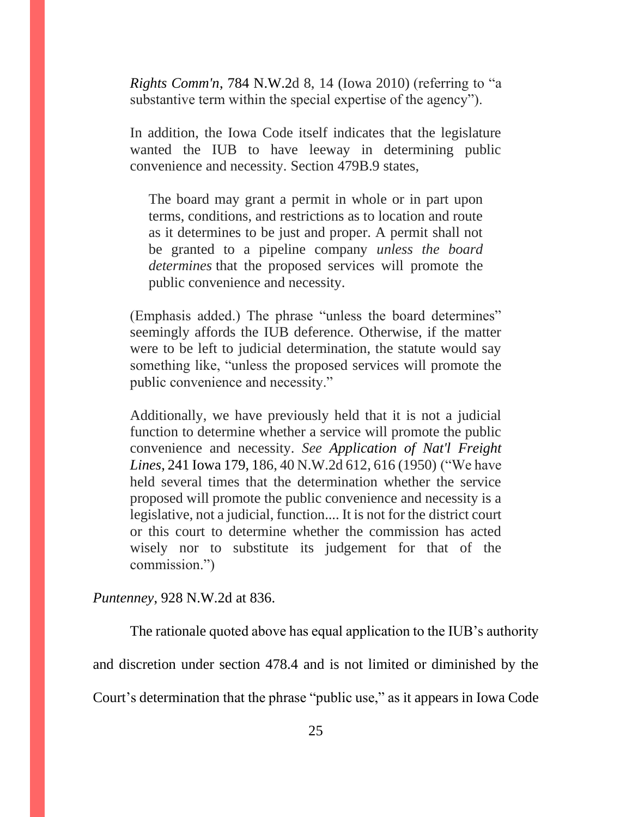*Rights Comm'n*, 784 N.W.2d 8, 14 (Iowa 2010) (referring to "a substantive term within the special expertise of the agency").

In addition, the Iowa Code itself indicates that the legislature wanted the IUB to have leeway in determining public convenience and necessity. Section 479B.9 states,

The board may grant a permit in whole or in part upon terms, conditions, and restrictions as to location and route as it determines to be just and proper. A permit shall not be granted to a pipeline company *unless the board determines* that the proposed services will promote the public convenience and necessity.

(Emphasis added.) The phrase "unless the board determines" seemingly affords the IUB deference. Otherwise, if the matter were to be left to judicial determination, the statute would say something like, "unless the proposed services will promote the public convenience and necessity."

Additionally, we have previously held that it is not a judicial function to determine whether a service will promote the public convenience and necessity. *See Application of Nat'l Freight Lines*, 241 Iowa 179, 186, 40 N.W.2d 612, 616 (1950) ("We have held several times that the determination whether the service proposed will promote the public convenience and necessity is a legislative, not a judicial, function.... It is not for the district court or this court to determine whether the commission has acted wisely nor to substitute its judgement for that of the commission.")

*Puntenney*, 928 N.W.2d at 836.

The rationale quoted above has equal application to the IUB's authority and discretion under section 478.4 and is not limited or diminished by the Court's determination that the phrase "public use," as it appears in Iowa Code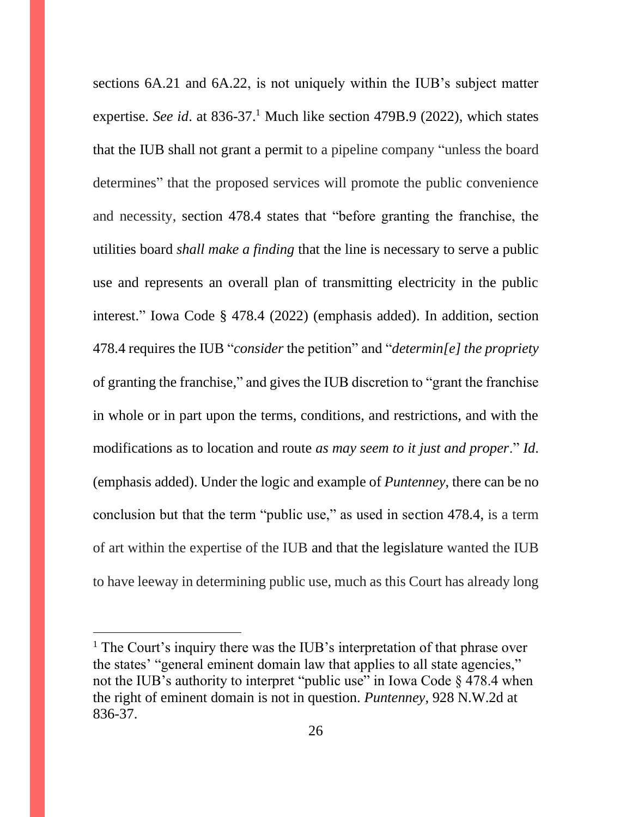sections 6A.21 and 6A.22, is not uniquely within the IUB's subject matter expertise. *See id.* at  $836-37$ <sup>1</sup> Much like section 479B.9 (2022), which states that the IUB shall not grant a permit to a pipeline company "unless the board determines" that the proposed services will promote the public convenience and necessity, section 478.4 states that "before granting the franchise, the utilities board *shall make a finding* that the line is necessary to serve a public use and represents an overall plan of transmitting electricity in the public interest." Iowa Code § 478.4 (2022) (emphasis added). In addition, section 478.4 requires the IUB "*consider* the petition" and "*determin[e] the propriety* of granting the franchise," and gives the IUB discretion to "grant the franchise in whole or in part upon the terms, conditions, and restrictions, and with the modifications as to location and route *as may seem to it just and proper*." *Id*. (emphasis added). Under the logic and example of *Puntenney*, there can be no conclusion but that the term "public use," as used in section 478.4, is a term of art within the expertise of the IUB and that the legislature wanted the IUB to have leeway in determining public use, much as this Court has already long

 $<sup>1</sup>$  The Court's inquiry there was the IUB's interpretation of that phrase over</sup> the states' "general eminent domain law that applies to all state agencies," not the IUB's authority to interpret "public use" in Iowa Code  $\S$  478.4 when the right of eminent domain is not in question. *Puntenney*, 928 N.W.2d at 836-37.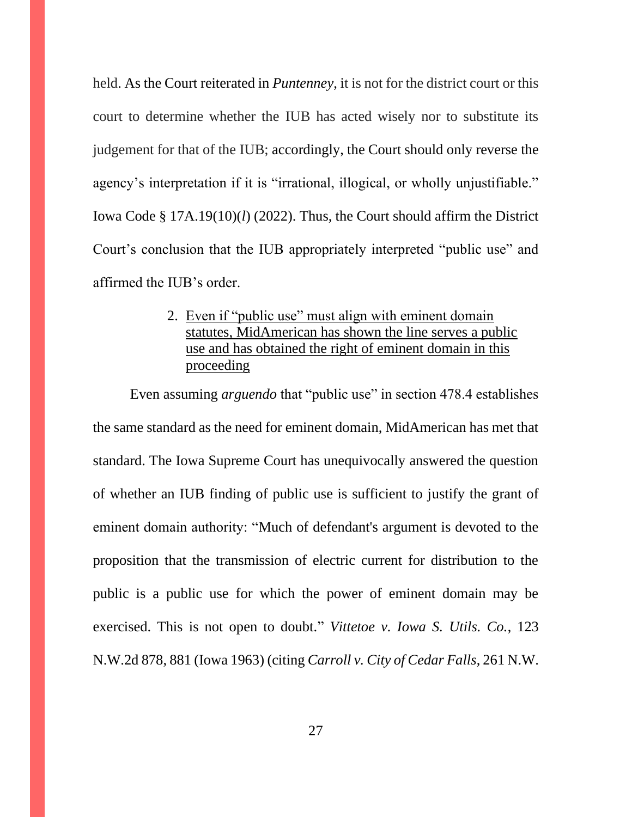held. As the Court reiterated in *Puntenney*, it is not for the district court or this court to determine whether the IUB has acted wisely nor to substitute its judgement for that of the IUB; accordingly, the Court should only reverse the agency's interpretation if it is "irrational, illogical, or wholly unjustifiable." Iowa Code § 17A.19(10)(*l*) (2022). Thus, the Court should affirm the District Court's conclusion that the IUB appropriately interpreted "public use" and affirmed the IUB's order.

> <span id="page-26-0"></span>2. Even if "public use" must align with eminent domain statutes, MidAmerican has shown the line serves a public use and has obtained the right of eminent domain in this proceeding

Even assuming *arguendo* that "public use" in section 478.4 establishes the same standard as the need for eminent domain, MidAmerican has met that standard. The Iowa Supreme Court has unequivocally answered the question of whether an IUB finding of public use is sufficient to justify the grant of eminent domain authority: "Much of defendant's argument is devoted to the proposition that the transmission of electric current for distribution to the public is a public use for which the power of eminent domain may be exercised. This is not open to doubt." *Vittetoe v. Iowa S. Utils. Co.*, 123 N.W.2d 878, 881 (Iowa 1963) (citing *Carroll v. City of Cedar Falls*, 261 N.W.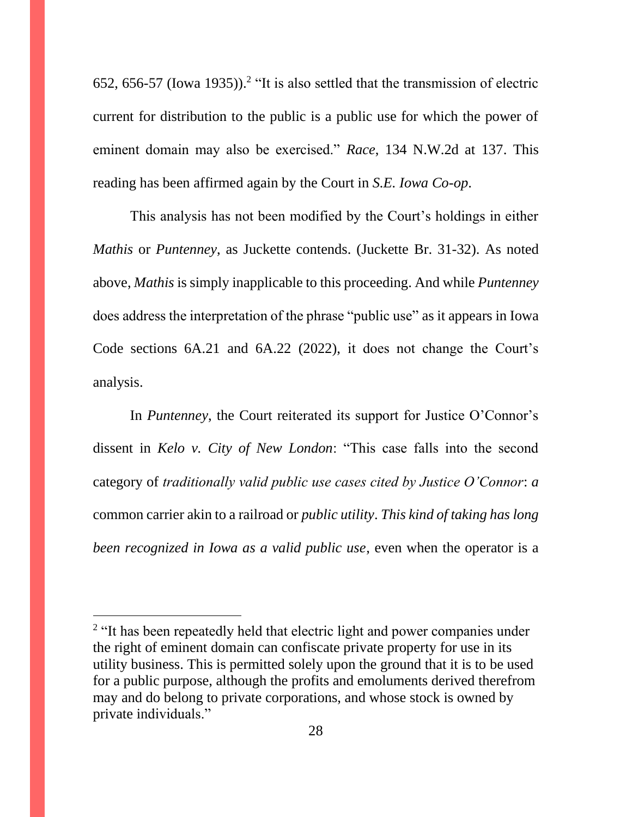652, 656-57 (Iowa 1935)). 2 "It is also settled that the transmission of electric current for distribution to the public is a public use for which the power of eminent domain may also be exercised." *Race*, 134 N.W.2d at 137. This reading has been affirmed again by the Court in *S.E. Iowa Co-op*.

This analysis has not been modified by the Court's holdings in either *Mathis* or *Puntenney*, as Juckette contends. (Juckette Br. 31-32). As noted above, *Mathis* is simply inapplicable to this proceeding. And while *Puntenney* does address the interpretation of the phrase "public use" as it appears in Iowa Code sections 6A.21 and 6A.22 (2022), it does not change the Court's analysis.

In *Puntenney*, the Court reiterated its support for Justice O'Connor's dissent in *Kelo v. City of New London*: "This case falls into the second category of *traditionally valid public use cases cited by Justice O'Connor*: *a* common carrier akin to a railroad or *public utility*. *This kind of taking has long been recognized in Iowa as a valid public use*, even when the operator is a

<sup>&</sup>lt;sup>2</sup> "It has been repeatedly held that electric light and power companies under the right of eminent domain can confiscate private property for use in its utility business. This is permitted solely upon the ground that it is to be used for a public purpose, although the profits and emoluments derived therefrom may and do belong to private corporations, and whose stock is owned by private individuals."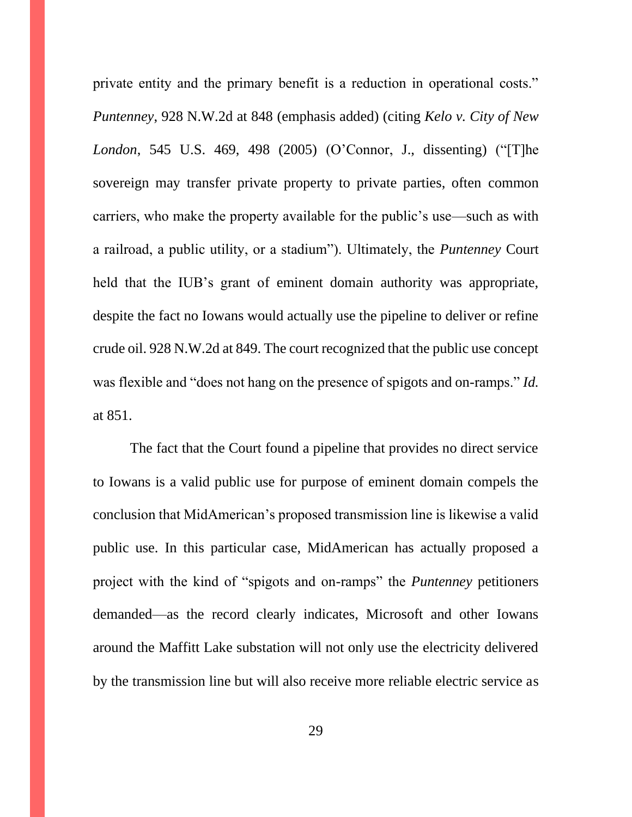private entity and the primary benefit is a reduction in operational costs." *Puntenney*, 928 N.W.2d at 848 (emphasis added) (citing *Kelo v. City of New London*, 545 U.S. 469, 498 (2005) (O'Connor, J., dissenting) ("[T]he sovereign may transfer private property to private parties, often common carriers, who make the property available for the public's use—such as with a railroad, a public utility, or a stadium"). Ultimately, the *Puntenney* Court held that the IUB's grant of eminent domain authority was appropriate, despite the fact no Iowans would actually use the pipeline to deliver or refine crude oil. 928 N.W.2d at 849. The court recognized that the public use concept was flexible and "does not hang on the presence of spigots and on-ramps." *Id.* at 851.

The fact that the Court found a pipeline that provides no direct service to Iowans is a valid public use for purpose of eminent domain compels the conclusion that MidAmerican's proposed transmission line is likewise a valid public use. In this particular case, MidAmerican has actually proposed a project with the kind of "spigots and on-ramps" the *Puntenney* petitioners demanded—as the record clearly indicates, Microsoft and other Iowans around the Maffitt Lake substation will not only use the electricity delivered by the transmission line but will also receive more reliable electric service as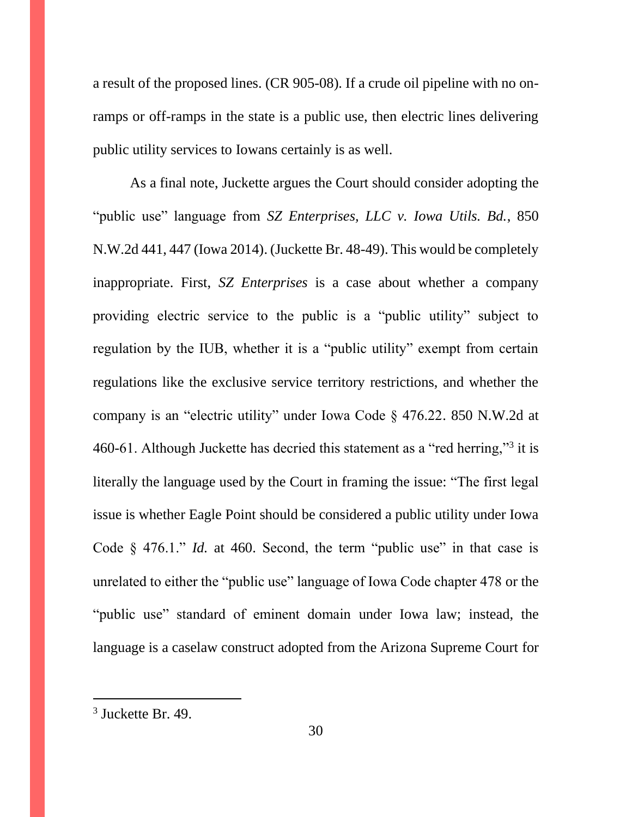a result of the proposed lines. (CR 905-08). If a crude oil pipeline with no onramps or off-ramps in the state is a public use, then electric lines delivering public utility services to Iowans certainly is as well.

As a final note, Juckette argues the Court should consider adopting the "public use" language from *SZ Enterprises, LLC v. Iowa Utils. Bd.*, 850 N.W.2d 441, 447 (Iowa 2014). (Juckette Br. 48-49). This would be completely inappropriate. First, *SZ Enterprises* is a case about whether a company providing electric service to the public is a "public utility" subject to regulation by the IUB, whether it is a "public utility" exempt from certain regulations like the exclusive service territory restrictions, and whether the company is an "electric utility" under Iowa Code § 476.22. 850 N.W.2d at 460-61. Although Juckette has decried this statement as a "red herring,"<sup>3</sup> it is literally the language used by the Court in framing the issue: "The first legal issue is whether Eagle Point should be considered a public utility under Iowa Code § 476.1." *Id.* at 460. Second, the term "public use" in that case is unrelated to either the "public use" language of Iowa Code chapter 478 or the "public use" standard of eminent domain under Iowa law; instead, the language is a caselaw construct adopted from the Arizona Supreme Court for

<sup>3</sup> Juckette Br. 49.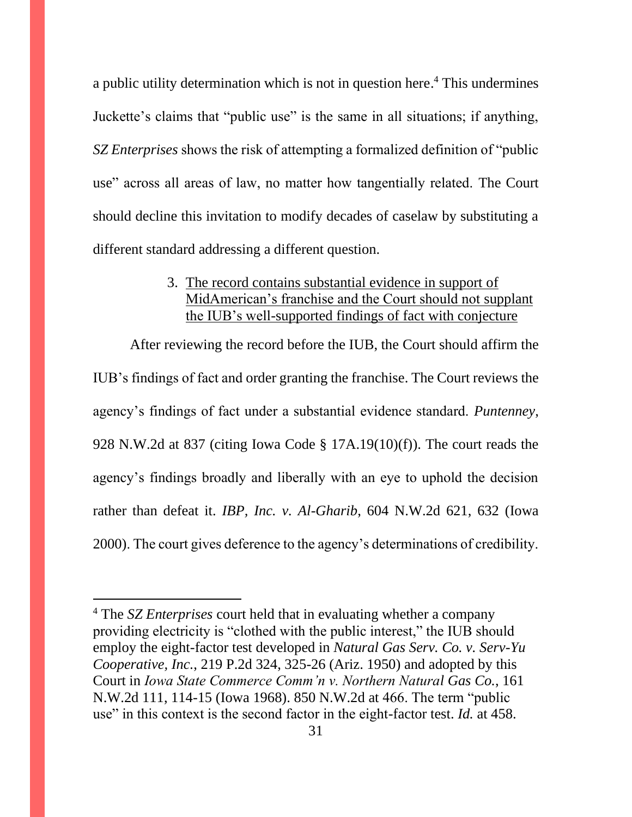a public utility determination which is not in question here. <sup>4</sup> This undermines Juckette's claims that "public use" is the same in all situations; if anything, *SZ Enterprises* shows the risk of attempting a formalized definition of "public use" across all areas of law, no matter how tangentially related. The Court should decline this invitation to modify decades of caselaw by substituting a different standard addressing a different question.

### 3. The record contains substantial evidence in support of MidAmerican's franchise and the Court should not supplant the IUB's well-supported findings of fact with conjecture

<span id="page-30-0"></span>After reviewing the record before the IUB, the Court should affirm the IUB's findings of fact and order granting the franchise. The Court reviews the agency's findings of fact under a substantial evidence standard. *Puntenney*, 928 N.W.2d at 837 (citing Iowa Code § 17A.19(10)(f)). The court reads the agency's findings broadly and liberally with an eye to uphold the decision rather than defeat it. *IBP, Inc. v. Al-Gharib*, 604 N.W.2d 621, 632 (Iowa 2000). The court gives deference to the agency's determinations of credibility.

<sup>4</sup> The *SZ Enterprises* court held that in evaluating whether a company providing electricity is "clothed with the public interest," the IUB should employ the eight-factor test developed in *Natural Gas Serv. Co. v. Serv-Yu Cooperative, Inc.*, 219 P.2d 324, 325-26 (Ariz. 1950) and adopted by this Court in *Iowa State Commerce Comm'n v. Northern Natural Gas Co.*, 161 N.W.2d 111, 114-15 (Iowa 1968). 850 N.W.2d at 466. The term "public use" in this context is the second factor in the eight-factor test. *Id.* at 458.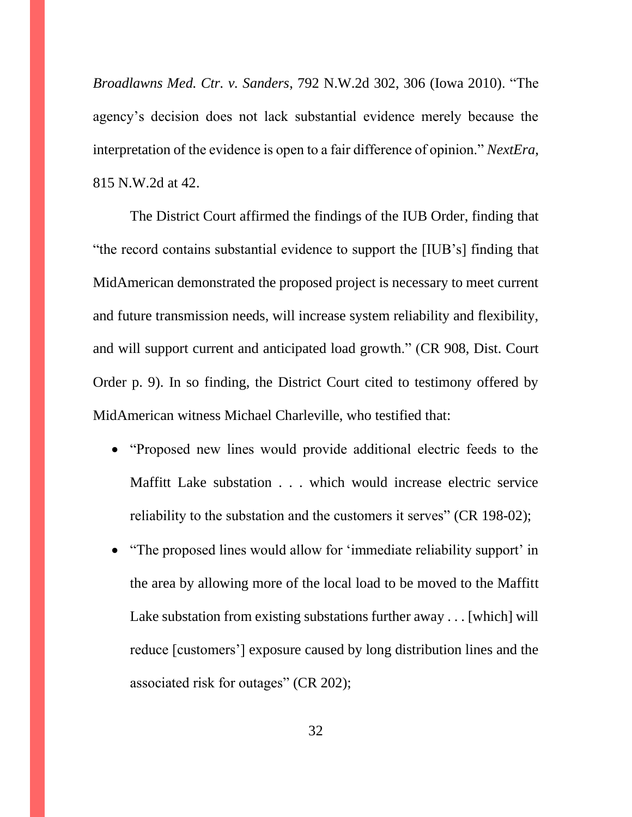*Broadlawns Med. Ctr. v. Sanders*, 792 N.W.2d 302, 306 (Iowa 2010). "The agency's decision does not lack substantial evidence merely because the interpretation of the evidence is open to a fair difference of opinion." *NextEra*, 815 N.W.2d at 42.

The District Court affirmed the findings of the IUB Order, finding that "the record contains substantial evidence to support the [IUB's] finding that MidAmerican demonstrated the proposed project is necessary to meet current and future transmission needs, will increase system reliability and flexibility, and will support current and anticipated load growth." (CR 908, Dist. Court Order p. 9). In so finding, the District Court cited to testimony offered by MidAmerican witness Michael Charleville, who testified that:

- "Proposed new lines would provide additional electric feeds to the Maffitt Lake substation . . . which would increase electric service reliability to the substation and the customers it serves" (CR 198-02);
- "The proposed lines would allow for 'immediate reliability support' in the area by allowing more of the local load to be moved to the Maffitt Lake substation from existing substations further away . . . [which] will reduce [customers'] exposure caused by long distribution lines and the associated risk for outages" (CR 202);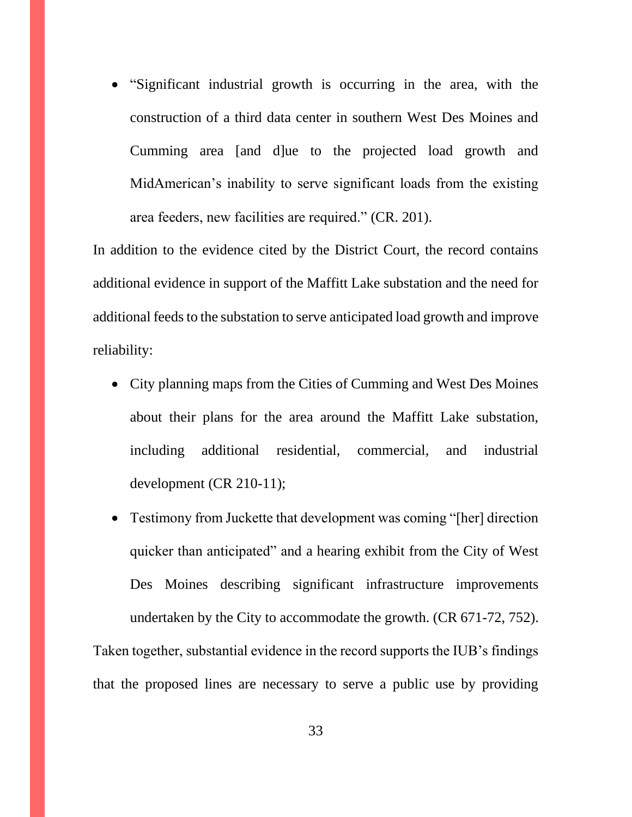• "Significant industrial growth is occurring in the area, with the construction of a third data center in southern West Des Moines and Cumming area [and d]ue to the projected load growth and MidAmerican's inability to serve significant loads from the existing area feeders, new facilities are required." (CR. 201).

In addition to the evidence cited by the District Court, the record contains additional evidence in support of the Maffitt Lake substation and the need for additional feeds to the substation to serve anticipated load growth and improve reliability:

- City planning maps from the Cities of Cumming and West Des Moines about their plans for the area around the Maffitt Lake substation, including additional residential, commercial, and industrial development (CR 210-11);
- Testimony from Juckette that development was coming "[her] direction quicker than anticipated" and a hearing exhibit from the City of West Des Moines describing significant infrastructure improvements undertaken by the City to accommodate the growth. (CR 671-72, 752).

Taken together, substantial evidence in the record supports the IUB's findings that the proposed lines are necessary to serve a public use by providing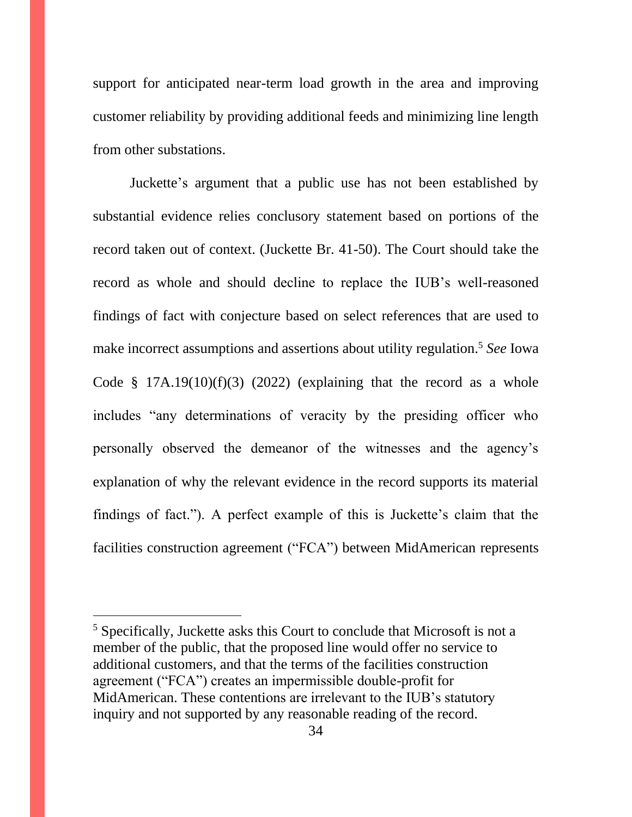support for anticipated near-term load growth in the area and improving customer reliability by providing additional feeds and minimizing line length from other substations.

Juckette's argument that a public use has not been established by substantial evidence relies conclusory statement based on portions of the record taken out of context. (Juckette Br. 41-50). The Court should take the record as whole and should decline to replace the IUB's well-reasoned findings of fact with conjecture based on select references that are used to make incorrect assumptions and assertions about utility regulation. <sup>5</sup> *See* Iowa Code  $§$  17A.19(10)(f)(3) (2022) (explaining that the record as a whole includes "any determinations of veracity by the presiding officer who personally observed the demeanor of the witnesses and the agency's explanation of why the relevant evidence in the record supports its material findings of fact."). A perfect example of this is Juckette's claim that the facilities construction agreement ("FCA") between MidAmerican represents

<sup>5</sup> Specifically, Juckette asks this Court to conclude that Microsoft is not a member of the public, that the proposed line would offer no service to additional customers, and that the terms of the facilities construction agreement ("FCA") creates an impermissible double-profit for MidAmerican. These contentions are irrelevant to the IUB's statutory inquiry and not supported by any reasonable reading of the record.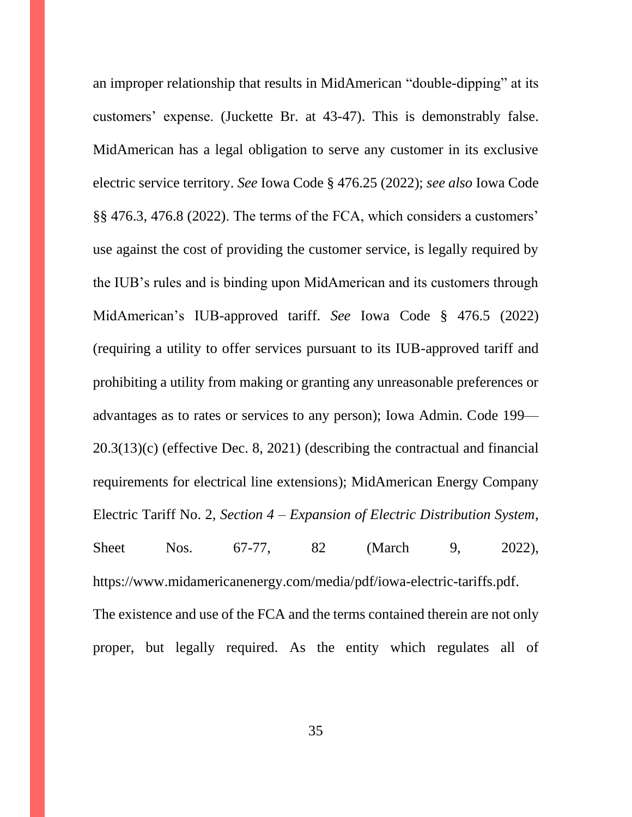an improper relationship that results in MidAmerican "double-dipping" at its customers' expense. (Juckette Br. at 43-47). This is demonstrably false. MidAmerican has a legal obligation to serve any customer in its exclusive electric service territory. *See* Iowa Code § 476.25 (2022); *see also* Iowa Code §§ 476.3, 476.8 (2022). The terms of the FCA, which considers a customers' use against the cost of providing the customer service, is legally required by the IUB's rules and is binding upon MidAmerican and its customers through MidAmerican's IUB-approved tariff. *See* Iowa Code § 476.5 (2022) (requiring a utility to offer services pursuant to its IUB-approved tariff and prohibiting a utility from making or granting any unreasonable preferences or advantages as to rates or services to any person); Iowa Admin. Code 199— 20.3(13)(c) (effective Dec. 8, 2021) (describing the contractual and financial requirements for electrical line extensions); MidAmerican Energy Company Electric Tariff No. 2, *Section 4 – Expansion of Electric Distribution System*, Sheet Nos. 67-77, 82 (March 9, 2022), https://www.midamericanenergy.com/media/pdf/iowa-electric-tariffs.pdf. The existence and use of the FCA and the terms contained therein are not only proper, but legally required. As the entity which regulates all of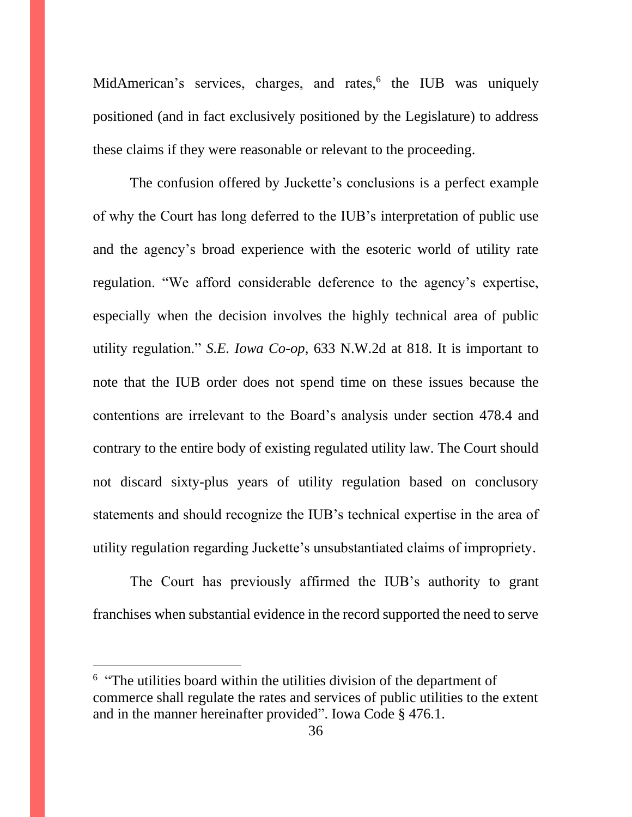MidAmerican's services, charges, and rates,<sup>6</sup> the IUB was uniquely positioned (and in fact exclusively positioned by the Legislature) to address these claims if they were reasonable or relevant to the proceeding.

The confusion offered by Juckette's conclusions is a perfect example of why the Court has long deferred to the IUB's interpretation of public use and the agency's broad experience with the esoteric world of utility rate regulation. "We afford considerable deference to the agency's expertise, especially when the decision involves the highly technical area of public utility regulation." *S.E. Iowa Co-op*, 633 N.W.2d at 818. It is important to note that the IUB order does not spend time on these issues because the contentions are irrelevant to the Board's analysis under section 478.4 and contrary to the entire body of existing regulated utility law. The Court should not discard sixty-plus years of utility regulation based on conclusory statements and should recognize the IUB's technical expertise in the area of utility regulation regarding Juckette's unsubstantiated claims of impropriety.

The Court has previously affirmed the IUB's authority to grant franchises when substantial evidence in the record supported the need to serve

<sup>&</sup>lt;sup>6</sup> "The utilities board within the utilities division of the department of commerce shall regulate the rates and services of public utilities to the extent and in the manner hereinafter provided". Iowa Code § 476.1.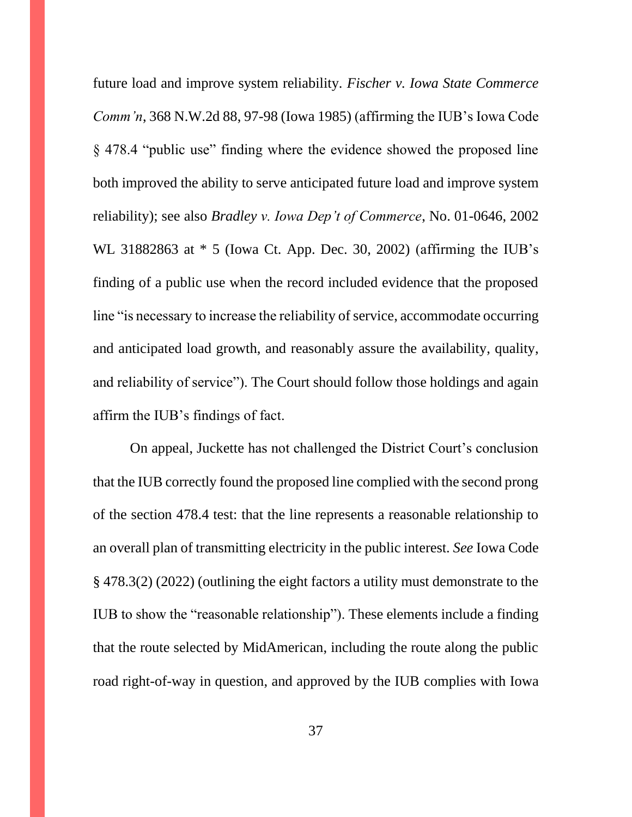future load and improve system reliability. *Fischer v. Iowa State Commerce Comm'n*, 368 N.W.2d 88, 97-98 (Iowa 1985) (affirming the IUB's Iowa Code § 478.4 "public use" finding where the evidence showed the proposed line both improved the ability to serve anticipated future load and improve system reliability); see also *Bradley v. Iowa Dep't of Commerce*, No. 01-0646, 2002 WL 31882863 at \* 5 (Iowa Ct. App. Dec. 30, 2002) (affirming the IUB's finding of a public use when the record included evidence that the proposed line "is necessary to increase the reliability of service, accommodate occurring and anticipated load growth, and reasonably assure the availability, quality, and reliability of service"). The Court should follow those holdings and again affirm the IUB's findings of fact.

On appeal, Juckette has not challenged the District Court's conclusion that the IUB correctly found the proposed line complied with the second prong of the section 478.4 test: that the line represents a reasonable relationship to an overall plan of transmitting electricity in the public interest. *See* Iowa Code § 478.3(2) (2022) (outlining the eight factors a utility must demonstrate to the IUB to show the "reasonable relationship"). These elements include a finding that the route selected by MidAmerican, including the route along the public road right-of-way in question, and approved by the IUB complies with Iowa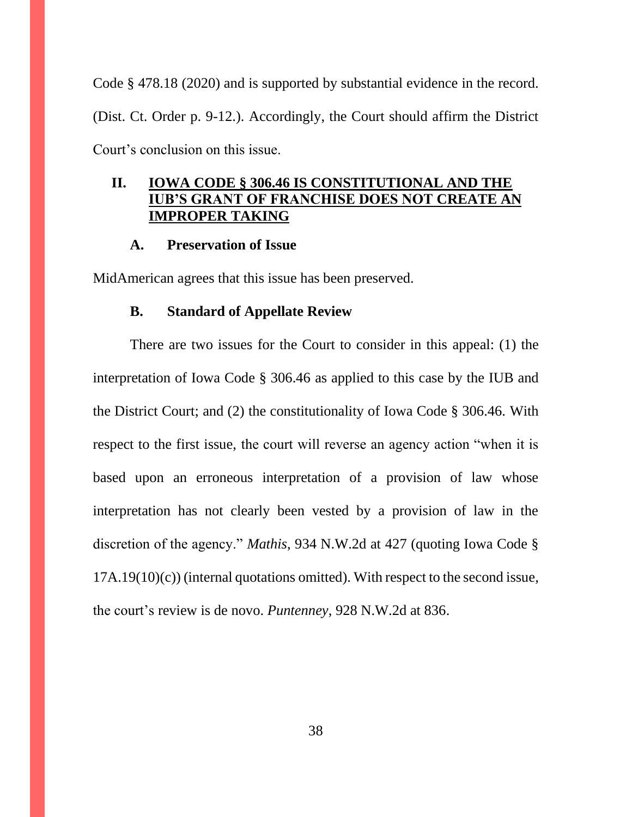Code § 478.18 (2020) and is supported by substantial evidence in the record. (Dist. Ct. Order p. 9-12.). Accordingly, the Court should affirm the District Court's conclusion on this issue.

# <span id="page-37-0"></span>**II. IOWA CODE § 306.46 IS CONSTITUTIONAL AND THE IUB'S GRANT OF FRANCHISE DOES NOT CREATE AN IMPROPER TAKING**

#### **A. Preservation of Issue**

<span id="page-37-2"></span><span id="page-37-1"></span>MidAmerican agrees that this issue has been preserved.

#### **B. Standard of Appellate Review**

There are two issues for the Court to consider in this appeal: (1) the interpretation of Iowa Code § 306.46 as applied to this case by the IUB and the District Court; and (2) the constitutionality of Iowa Code § 306.46. With respect to the first issue, the court will reverse an agency action "when it is based upon an erroneous interpretation of a provision of law whose interpretation has not clearly been vested by a provision of law in the discretion of the agency." *Mathis*, 934 N.W.2d at 427 (quoting Iowa Code § 17A.19(10)(c)) (internal quotations omitted). With respect to the second issue, the court's review is de novo. *Puntenney*, 928 N.W.2d at 836.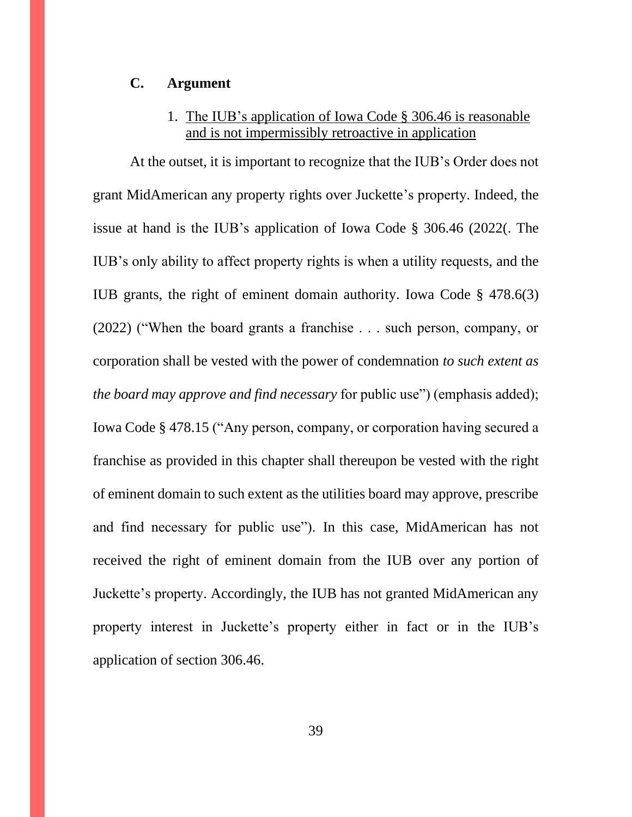### <span id="page-38-0"></span>**C. Argument**

# 1. The IUB's application of Iowa Code § 306.46 is reasonable and is not impermissibly retroactive in application

<span id="page-38-1"></span>At the outset, it is important to recognize that the IUB's Order does not grant MidAmerican any property rights over Juckette's property. Indeed, the issue at hand is the IUB's application of Iowa Code § 306.46 (2022(. The IUB's only ability to affect property rights is when a utility requests, and the IUB grants, the right of eminent domain authority. Iowa Code § 478.6(3) (2022) ("When the board grants a franchise . . . such person, company, or corporation shall be vested with the power of condemnation *to such extent as the board may approve and find necessary* for public use") (emphasis added); Iowa Code § 478.15 ("Any person, company, or corporation having secured a franchise as provided in this chapter shall thereupon be vested with the right of eminent domain to such extent as the utilities board may approve, prescribe and find necessary for public use"). In this case, MidAmerican has not received the right of eminent domain from the IUB over any portion of Juckette's property. Accordingly, the IUB has not granted MidAmerican any property interest in Juckette's property either in fact or in the IUB's application of section 306.46.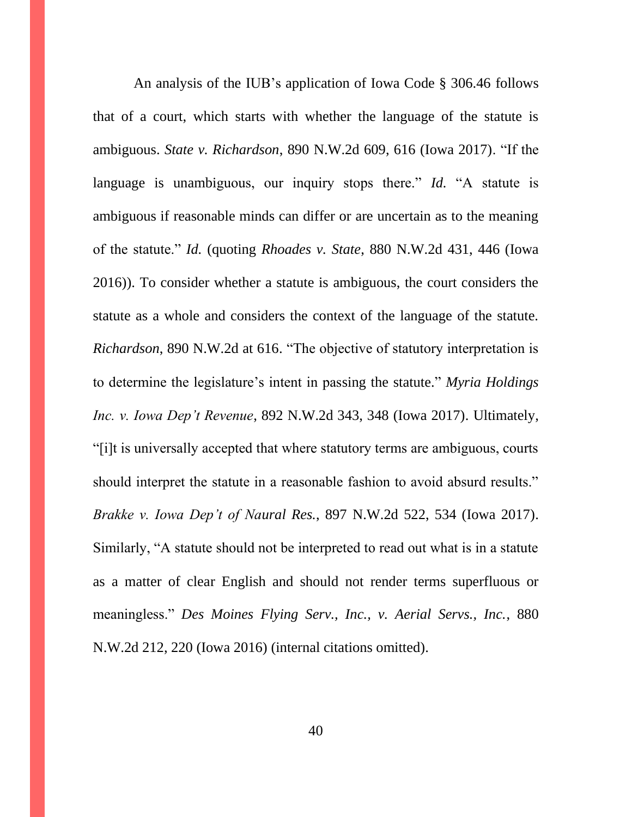An analysis of the IUB's application of Iowa Code § 306.46 follows that of a court, which starts with whether the language of the statute is ambiguous. *State v. Richardson*, 890 N.W.2d 609, 616 (Iowa 2017). "If the language is unambiguous, our inquiry stops there." *Id.* "A statute is ambiguous if reasonable minds can differ or are uncertain as to the meaning of the statute." *Id.* (quoting *Rhoades v. State*, 880 N.W.2d 431, 446 (Iowa 2016)). To consider whether a statute is ambiguous, the court considers the statute as a whole and considers the context of the language of the statute. *Richardson*, 890 N.W.2d at 616. "The objective of statutory interpretation is to determine the legislature's intent in passing the statute." *Myria Holdings Inc. v. Iowa Dep't Revenue*, 892 N.W.2d 343, 348 (Iowa 2017). Ultimately, "[i]t is universally accepted that where statutory terms are ambiguous, courts should interpret the statute in a reasonable fashion to avoid absurd results." *Brakke v. Iowa Dep't of Naural Res.*, 897 N.W.2d 522, 534 (Iowa 2017). Similarly, "A statute should not be interpreted to read out what is in a statute as a matter of clear English and should not render terms superfluous or meaningless." *Des Moines Flying Serv., Inc., v. Aerial Servs., Inc.*, 880 N.W.2d 212, 220 (Iowa 2016) (internal citations omitted).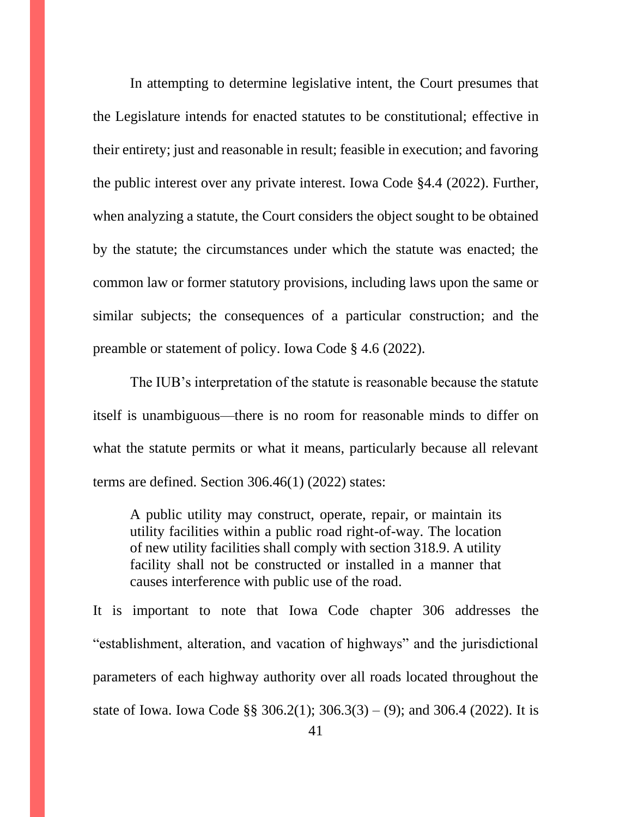In attempting to determine legislative intent, the Court presumes that the Legislature intends for enacted statutes to be constitutional; effective in their entirety; just and reasonable in result; feasible in execution; and favoring the public interest over any private interest. Iowa Code §4.4 (2022). Further, when analyzing a statute, the Court considers the object sought to be obtained by the statute; the circumstances under which the statute was enacted; the common law or former statutory provisions, including laws upon the same or similar subjects; the consequences of a particular construction; and the preamble or statement of policy. Iowa Code § 4.6 (2022).

The IUB's interpretation of the statute is reasonable because the statute itself is unambiguous—there is no room for reasonable minds to differ on what the statute permits or what it means, particularly because all relevant terms are defined. Section 306.46(1) (2022) states:

A public utility may construct, operate, repair, or maintain its utility facilities within a public road right-of-way. The location of new utility facilities shall comply with section 318.9. A utility facility shall not be constructed or installed in a manner that causes interference with public use of the road.

It is important to note that Iowa Code chapter 306 addresses the "establishment, alteration, and vacation of highways" and the jurisdictional parameters of each highway authority over all roads located throughout the state of Iowa. Iowa Code §§ 306.2(1);  $306.3(3) - (9)$ ; and 306.4 (2022). It is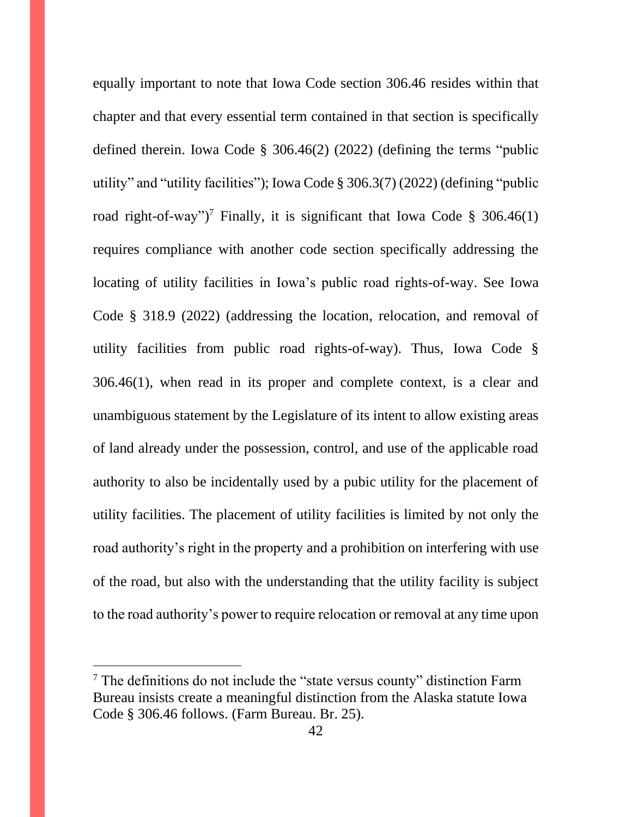equally important to note that Iowa Code section 306.46 resides within that chapter and that every essential term contained in that section is specifically defined therein. Iowa Code § 306.46(2) (2022) (defining the terms "public utility" and "utility facilities"); Iowa Code § 306.3(7) (2022) (defining "public road right-of-way")<sup>7</sup> Finally, it is significant that Iowa Code § 306.46(1) requires compliance with another code section specifically addressing the locating of utility facilities in Iowa's public road rights-of-way. See Iowa Code § 318.9 (2022) (addressing the location, relocation, and removal of utility facilities from public road rights-of-way). Thus, Iowa Code § 306.46(1), when read in its proper and complete context, is a clear and unambiguous statement by the Legislature of its intent to allow existing areas of land already under the possession, control, and use of the applicable road authority to also be incidentally used by a pubic utility for the placement of utility facilities. The placement of utility facilities is limited by not only the road authority's right in the property and a prohibition on interfering with use of the road, but also with the understanding that the utility facility is subject to the road authority's power to require relocation or removal at any time upon

<sup>&</sup>lt;sup>7</sup> The definitions do not include the "state versus county" distinction Farm Bureau insists create a meaningful distinction from the Alaska statute Iowa Code § 306.46 follows. (Farm Bureau. Br. 25).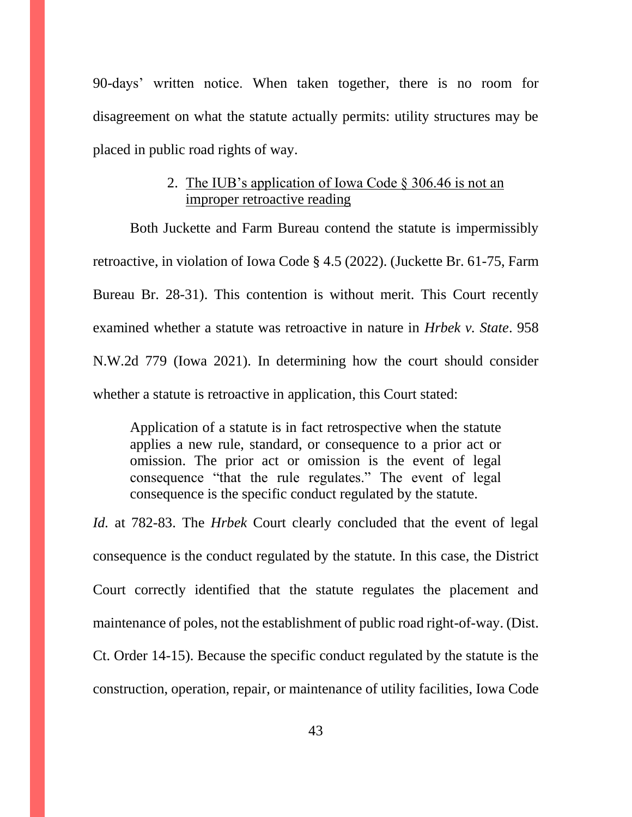90-days' written notice. When taken together, there is no room for disagreement on what the statute actually permits: utility structures may be placed in public road rights of way.

# 2. The IUB's application of Iowa Code § 306.46 is not an improper retroactive reading

<span id="page-42-0"></span>Both Juckette and Farm Bureau contend the statute is impermissibly retroactive, in violation of Iowa Code § 4.5 (2022). (Juckette Br. 61-75, Farm Bureau Br. 28-31). This contention is without merit. This Court recently examined whether a statute was retroactive in nature in *Hrbek v. State*. 958 N.W.2d 779 (Iowa 2021). In determining how the court should consider whether a statute is retroactive in application, this Court stated:

Application of a statute is in fact retrospective when the statute applies a new rule, standard, or consequence to a prior act or omission. The prior act or omission is the event of legal consequence "that the rule regulates." The event of legal consequence is the specific conduct regulated by the statute.

*Id.* at 782-83. The *Hrbek* Court clearly concluded that the event of legal consequence is the conduct regulated by the statute. In this case, the District Court correctly identified that the statute regulates the placement and maintenance of poles, not the establishment of public road right-of-way. (Dist. Ct. Order 14-15). Because the specific conduct regulated by the statute is the construction, operation, repair, or maintenance of utility facilities, Iowa Code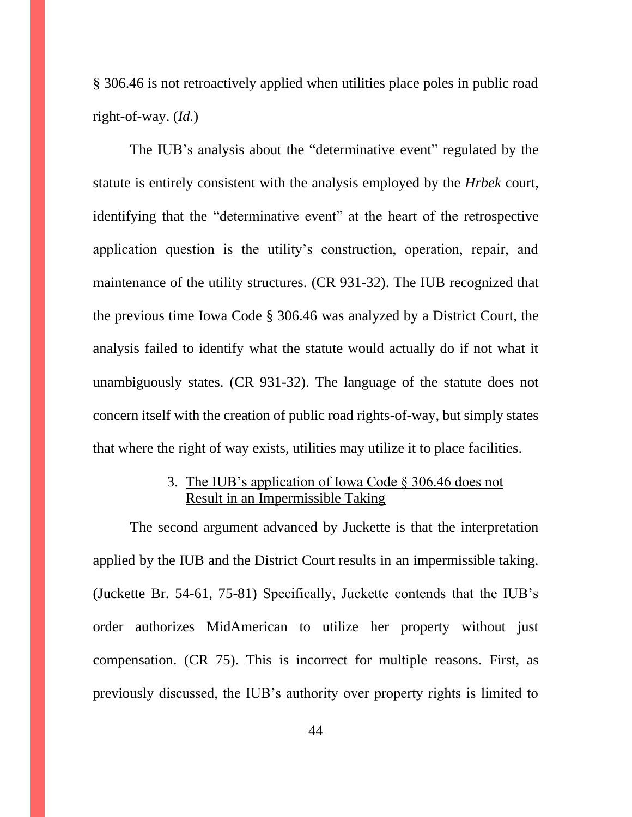§ 306.46 is not retroactively applied when utilities place poles in public road right-of-way. (*Id.*)

The IUB's analysis about the "determinative event" regulated by the statute is entirely consistent with the analysis employed by the *Hrbek* court, identifying that the "determinative event" at the heart of the retrospective application question is the utility's construction, operation, repair, and maintenance of the utility structures. (CR 931-32). The IUB recognized that the previous time Iowa Code § 306.46 was analyzed by a District Court, the analysis failed to identify what the statute would actually do if not what it unambiguously states. (CR 931-32). The language of the statute does not concern itself with the creation of public road rights-of-way, but simply states that where the right of way exists, utilities may utilize it to place facilities.

## 3. The IUB's application of Iowa Code § 306.46 does not Result in an Impermissible Taking

<span id="page-43-0"></span>The second argument advanced by Juckette is that the interpretation applied by the IUB and the District Court results in an impermissible taking. (Juckette Br. 54-61, 75-81) Specifically, Juckette contends that the IUB's order authorizes MidAmerican to utilize her property without just compensation. (CR 75). This is incorrect for multiple reasons. First, as previously discussed, the IUB's authority over property rights is limited to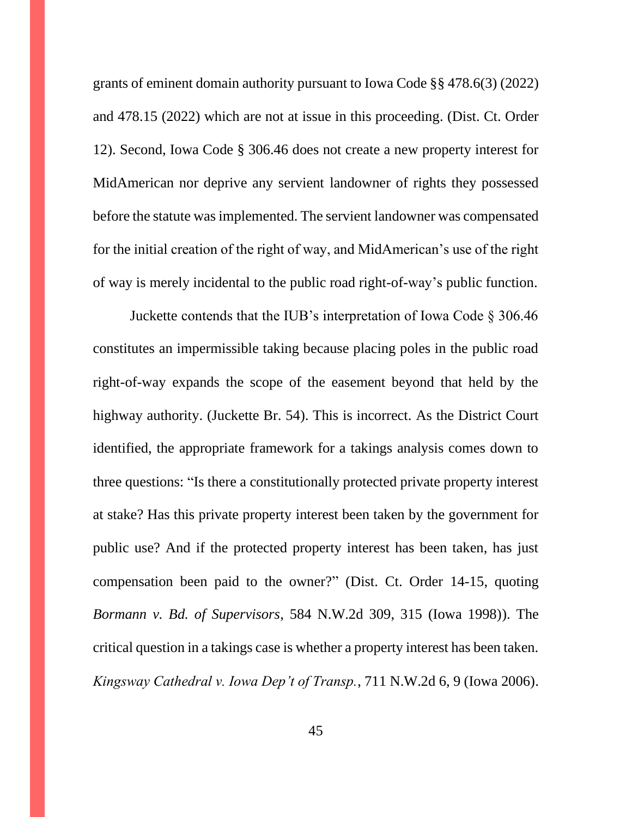grants of eminent domain authority pursuant to Iowa Code §§ 478.6(3) (2022) and 478.15 (2022) which are not at issue in this proceeding. (Dist. Ct. Order 12). Second, Iowa Code § 306.46 does not create a new property interest for MidAmerican nor deprive any servient landowner of rights they possessed before the statute was implemented. The servient landowner was compensated for the initial creation of the right of way, and MidAmerican's use of the right of way is merely incidental to the public road right-of-way's public function.

Juckette contends that the IUB's interpretation of Iowa Code § 306.46 constitutes an impermissible taking because placing poles in the public road right-of-way expands the scope of the easement beyond that held by the highway authority. (Juckette Br. 54). This is incorrect. As the District Court identified, the appropriate framework for a takings analysis comes down to three questions: "Is there a constitutionally protected private property interest at stake? Has this private property interest been taken by the government for public use? And if the protected property interest has been taken, has just compensation been paid to the owner?" (Dist. Ct. Order 14-15, quoting *Bormann v. Bd. of Supervisors*, 584 N.W.2d 309, 315 (Iowa 1998)). The critical question in a takings case is whether a property interest has been taken. *Kingsway Cathedral v. Iowa Dep't of Transp.*, 711 N.W.2d 6, 9 (Iowa 2006).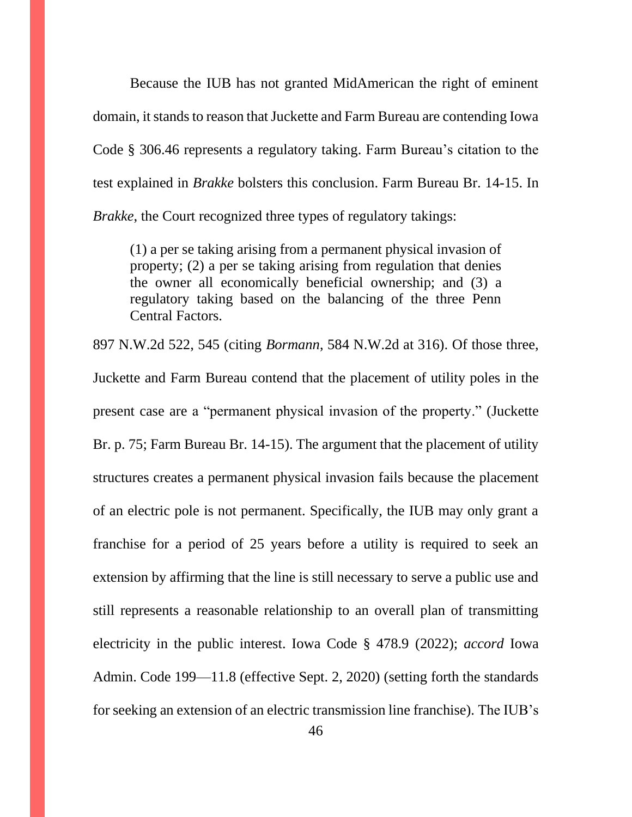Because the IUB has not granted MidAmerican the right of eminent domain, it stands to reason that Juckette and Farm Bureau are contending Iowa Code § 306.46 represents a regulatory taking. Farm Bureau's citation to the test explained in *Brakke* bolsters this conclusion. Farm Bureau Br. 14-15. In *Brakke*, the Court recognized three types of regulatory takings:

(1) a per se taking arising from a permanent physical invasion of property; (2) a per se taking arising from regulation that denies the owner all economically beneficial ownership; and (3) a regulatory taking based on the balancing of the three Penn Central Factors.

897 N.W.2d 522, 545 (citing *Bormann*, 584 N.W.2d at 316). Of those three, Juckette and Farm Bureau contend that the placement of utility poles in the present case are a "permanent physical invasion of the property." (Juckette Br. p. 75; Farm Bureau Br. 14-15). The argument that the placement of utility structures creates a permanent physical invasion fails because the placement of an electric pole is not permanent. Specifically, the IUB may only grant a franchise for a period of 25 years before a utility is required to seek an extension by affirming that the line is still necessary to serve a public use and still represents a reasonable relationship to an overall plan of transmitting electricity in the public interest. Iowa Code § 478.9 (2022); *accord* Iowa Admin. Code 199—11.8 (effective Sept. 2, 2020) (setting forth the standards for seeking an extension of an electric transmission line franchise). The IUB's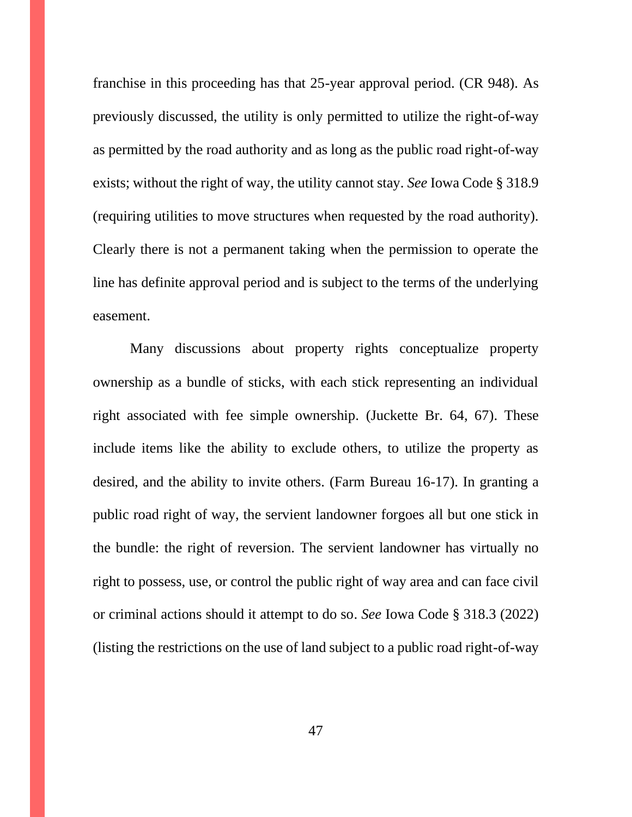franchise in this proceeding has that 25-year approval period. (CR 948). As previously discussed, the utility is only permitted to utilize the right-of-way as permitted by the road authority and as long as the public road right-of-way exists; without the right of way, the utility cannot stay. *See* Iowa Code § 318.9 (requiring utilities to move structures when requested by the road authority). Clearly there is not a permanent taking when the permission to operate the line has definite approval period and is subject to the terms of the underlying easement.

Many discussions about property rights conceptualize property ownership as a bundle of sticks, with each stick representing an individual right associated with fee simple ownership. (Juckette Br. 64, 67). These include items like the ability to exclude others, to utilize the property as desired, and the ability to invite others. (Farm Bureau 16-17). In granting a public road right of way, the servient landowner forgoes all but one stick in the bundle: the right of reversion. The servient landowner has virtually no right to possess, use, or control the public right of way area and can face civil or criminal actions should it attempt to do so. *See* Iowa Code § 318.3 (2022) (listing the restrictions on the use of land subject to a public road right-of-way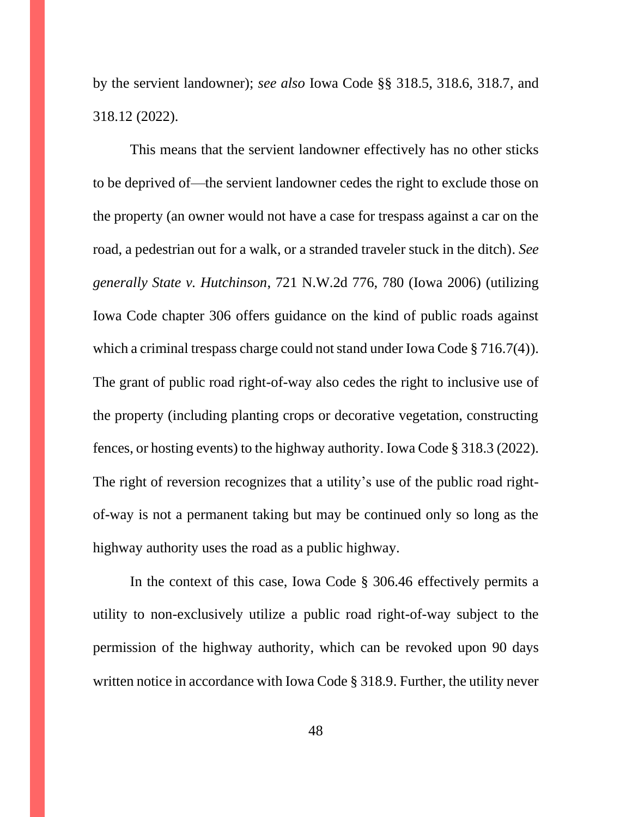by the servient landowner); *see also* Iowa Code §§ 318.5, 318.6, 318.7, and 318.12 (2022).

This means that the servient landowner effectively has no other sticks to be deprived of—the servient landowner cedes the right to exclude those on the property (an owner would not have a case for trespass against a car on the road, a pedestrian out for a walk, or a stranded traveler stuck in the ditch). *See generally State v. Hutchinson*, 721 N.W.2d 776, 780 (Iowa 2006) (utilizing Iowa Code chapter 306 offers guidance on the kind of public roads against which a criminal trespass charge could not stand under Iowa Code § 716.7(4)). The grant of public road right-of-way also cedes the right to inclusive use of the property (including planting crops or decorative vegetation, constructing fences, or hosting events) to the highway authority. Iowa Code § 318.3 (2022). The right of reversion recognizes that a utility's use of the public road rightof-way is not a permanent taking but may be continued only so long as the highway authority uses the road as a public highway.

In the context of this case, Iowa Code § 306.46 effectively permits a utility to non-exclusively utilize a public road right-of-way subject to the permission of the highway authority, which can be revoked upon 90 days written notice in accordance with Iowa Code § 318.9. Further, the utility never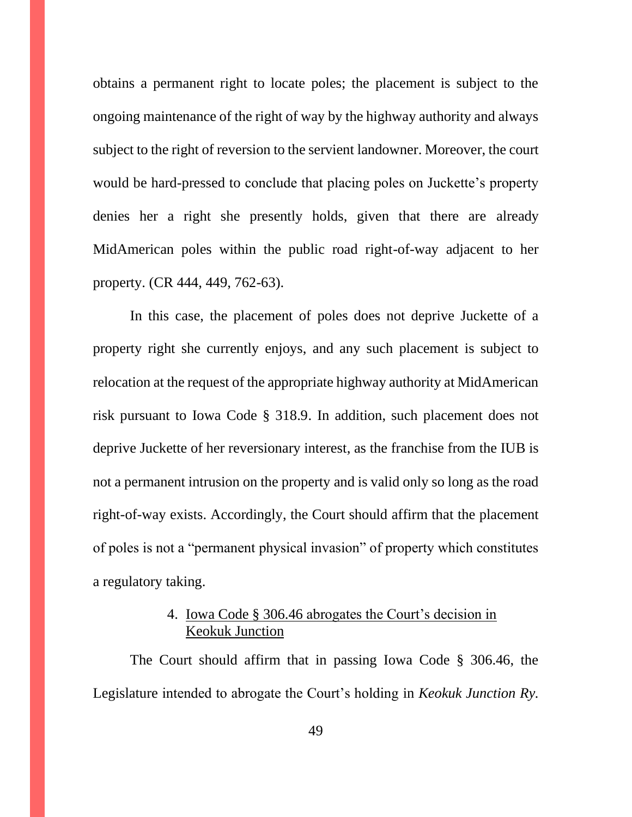obtains a permanent right to locate poles; the placement is subject to the ongoing maintenance of the right of way by the highway authority and always subject to the right of reversion to the servient landowner. Moreover, the court would be hard-pressed to conclude that placing poles on Juckette's property denies her a right she presently holds, given that there are already MidAmerican poles within the public road right-of-way adjacent to her property. (CR 444, 449, 762-63).

In this case, the placement of poles does not deprive Juckette of a property right she currently enjoys, and any such placement is subject to relocation at the request of the appropriate highway authority at MidAmerican risk pursuant to Iowa Code § 318.9. In addition, such placement does not deprive Juckette of her reversionary interest, as the franchise from the IUB is not a permanent intrusion on the property and is valid only so long as the road right-of-way exists. Accordingly, the Court should affirm that the placement of poles is not a "permanent physical invasion" of property which constitutes a regulatory taking.

# 4. Iowa Code § 306.46 abrogates the Court's decision in Keokuk Junction

<span id="page-48-0"></span>The Court should affirm that in passing Iowa Code § 306.46, the Legislature intended to abrogate the Court's holding in *Keokuk Junction Ry.*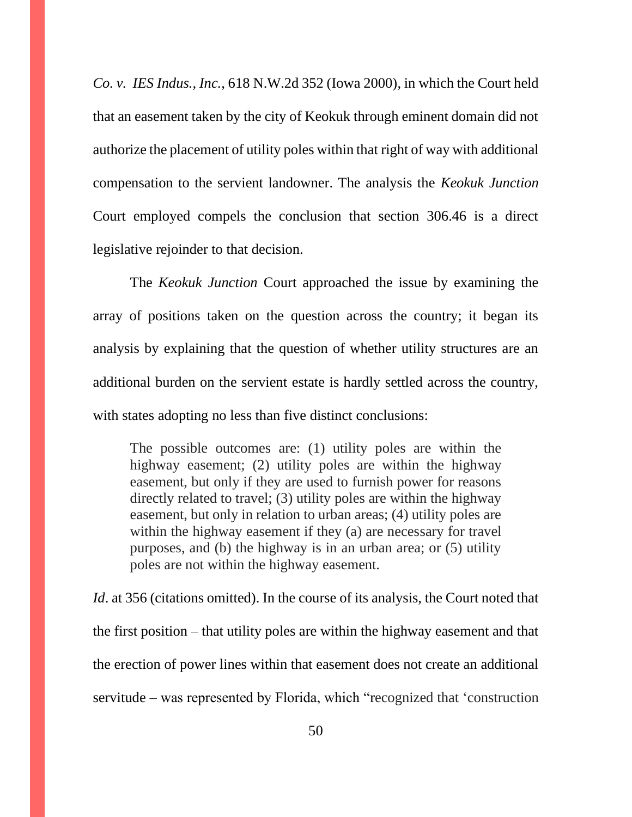*Co. v. IES Indus., Inc.*, 618 N.W.2d 352 (Iowa 2000), in which the Court held that an easement taken by the city of Keokuk through eminent domain did not authorize the placement of utility poles within that right of way with additional compensation to the servient landowner. The analysis the *Keokuk Junction* Court employed compels the conclusion that section 306.46 is a direct legislative rejoinder to that decision.

The *Keokuk Junction* Court approached the issue by examining the array of positions taken on the question across the country; it began its analysis by explaining that the question of whether utility structures are an additional burden on the servient estate is hardly settled across the country, with states adopting no less than five distinct conclusions:

The possible outcomes are: (1) utility poles are within the highway easement; (2) utility poles are within the highway easement, but only if they are used to furnish power for reasons directly related to travel; (3) utility poles are within the highway easement, but only in relation to urban areas; (4) utility poles are within the highway easement if they (a) are necessary for travel purposes, and (b) the highway is in an urban area; or (5) utility poles are not within the highway easement.

*Id*. at 356 (citations omitted). In the course of its analysis, the Court noted that the first position – that utility poles are within the highway easement and that the erection of power lines within that easement does not create an additional servitude – was represented by Florida, which "recognized that 'construction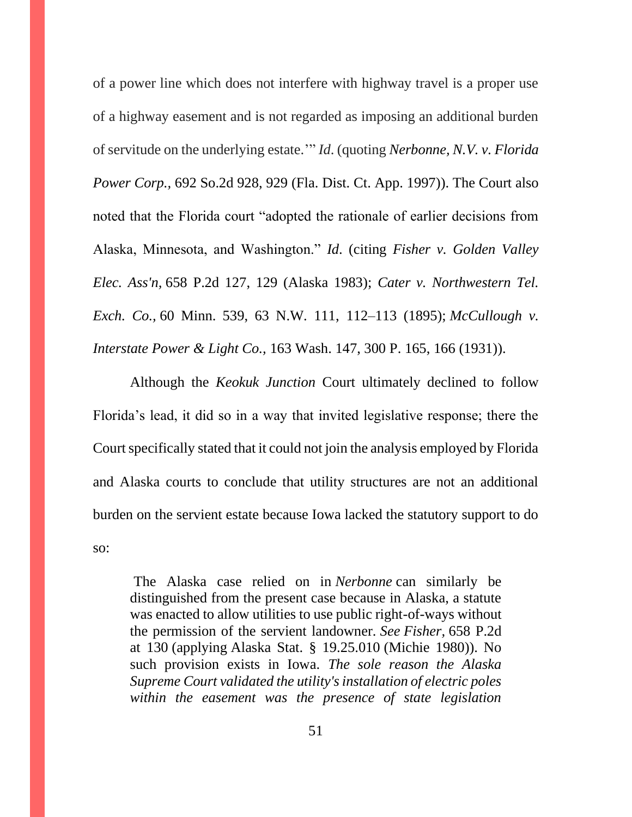of a power line which does not interfere with highway travel is a proper use of a highway easement and is not regarded as imposing an additional burden of servitude on the underlying estate.'" *Id*. (quoting *Nerbonne, N.V. v. Florida Power Corp.,* 692 So.2d 928, 929 (Fla. Dist. Ct. App. 1997)). The Court also noted that the Florida court "adopted the rationale of earlier decisions from Alaska, Minnesota, and Washington." *Id*. (citing *Fisher v. Golden Valley Elec. Ass'n,* 658 P.2d 127, 129 (Alaska 1983); *Cater v. Northwestern Tel. Exch. Co.,* 60 Minn. 539, 63 N.W. 111, 112–113 (1895); *McCullough v. Interstate Power & Light Co.,* 163 Wash. 147, 300 P. 165, 166 (1931)).

Although the *Keokuk Junction* Court ultimately declined to follow Florida's lead, it did so in a way that invited legislative response; there the Court specifically stated that it could not join the analysis employed by Florida and Alaska courts to conclude that utility structures are not an additional burden on the servient estate because Iowa lacked the statutory support to do so:

The Alaska case relied on in *Nerbonne* can similarly be distinguished from the present case because in Alaska, a statute was enacted to allow utilities to use public right-of-ways without the permission of the servient landowner. *See Fisher,* 658 P.2d at 130 (applying Alaska Stat. § 19.25.010 (Michie 1980)). No such provision exists in Iowa. *The sole reason the Alaska Supreme Court validated the utility's installation of electric poles within the easement was the presence of state legislation*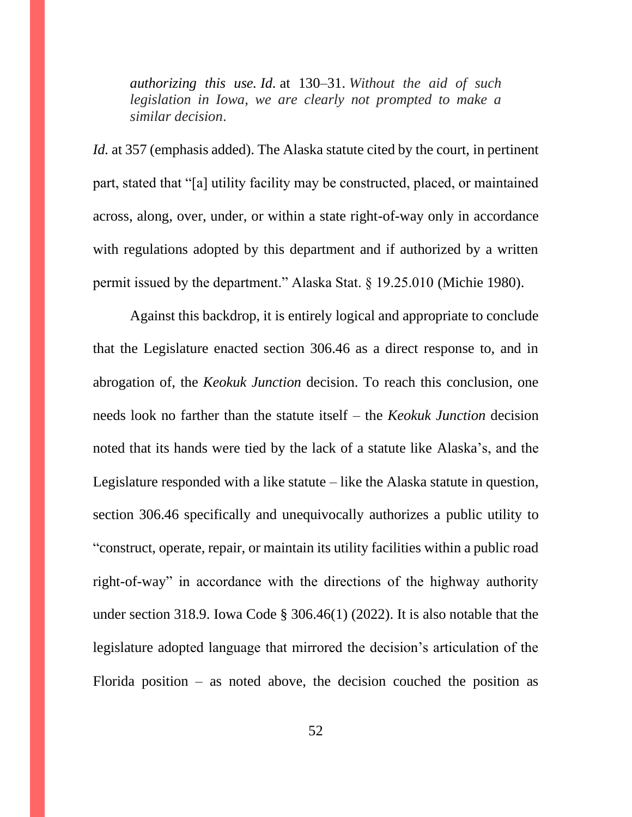*authorizing this use. Id.* at 130–31. *Without the aid of such legislation in Iowa, we are clearly not prompted to make a similar decision*.

*Id.* at 357 (emphasis added). The Alaska statute cited by the court, in pertinent part, stated that "[a] utility facility may be constructed, placed, or maintained across, along, over, under, or within a state right-of-way only in accordance with regulations adopted by this department and if authorized by a written permit issued by the department." Alaska Stat. § 19.25.010 (Michie 1980).

Against this backdrop, it is entirely logical and appropriate to conclude that the Legislature enacted section 306.46 as a direct response to, and in abrogation of, the *Keokuk Junction* decision. To reach this conclusion, one needs look no farther than the statute itself – the *Keokuk Junction* decision noted that its hands were tied by the lack of a statute like Alaska's, and the Legislature responded with a like statute – like the Alaska statute in question, section 306.46 specifically and unequivocally authorizes a public utility to "construct, operate, repair, or maintain its utility facilities within a public road right-of-way" in accordance with the directions of the highway authority under section 318.9. Iowa Code § 306.46(1) (2022). It is also notable that the legislature adopted language that mirrored the decision's articulation of the Florida position – as noted above, the decision couched the position as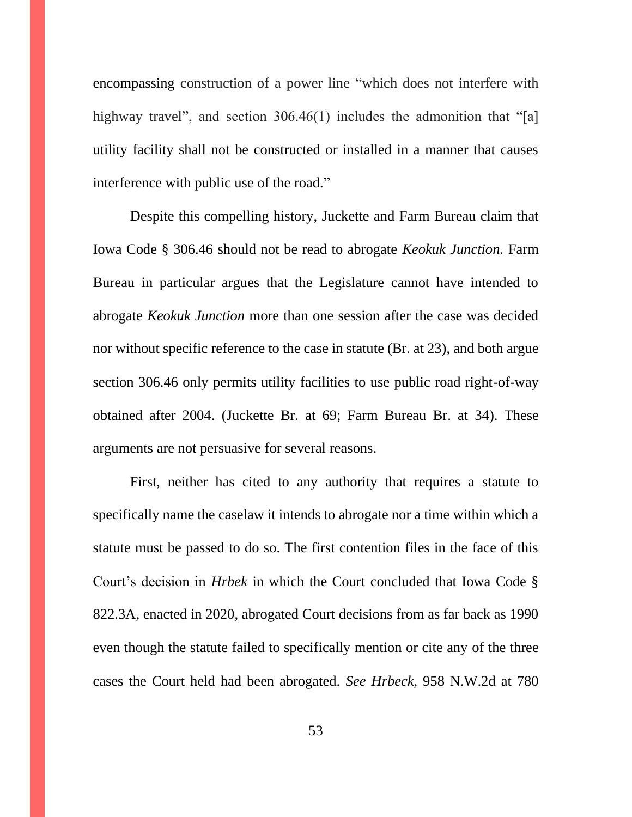encompassing construction of a power line "which does not interfere with highway travel", and section 306.46(1) includes the admonition that "[a] utility facility shall not be constructed or installed in a manner that causes interference with public use of the road."

Despite this compelling history, Juckette and Farm Bureau claim that Iowa Code § 306.46 should not be read to abrogate *Keokuk Junction.* Farm Bureau in particular argues that the Legislature cannot have intended to abrogate *Keokuk Junction* more than one session after the case was decided nor without specific reference to the case in statute (Br. at 23), and both argue section 306.46 only permits utility facilities to use public road right-of-way obtained after 2004. (Juckette Br. at 69; Farm Bureau Br. at 34). These arguments are not persuasive for several reasons.

First, neither has cited to any authority that requires a statute to specifically name the caselaw it intends to abrogate nor a time within which a statute must be passed to do so. The first contention files in the face of this Court's decision in *Hrbek* in which the Court concluded that Iowa Code § 822.3A, enacted in 2020, abrogated Court decisions from as far back as 1990 even though the statute failed to specifically mention or cite any of the three cases the Court held had been abrogated. *See Hrbeck*, 958 N.W.2d at 780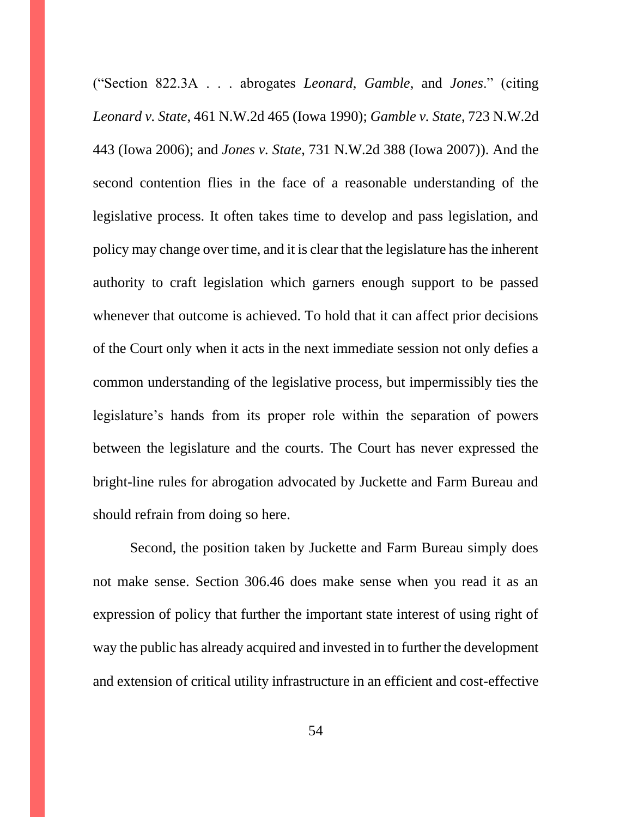("Section 822.3A . . . abrogates *Leonard*, *Gamble*, and *Jones*." (citing *Leonard v. State*, 461 N.W.2d 465 (Iowa 1990); *Gamble v. State*, 723 N.W.2d 443 (Iowa 2006); and *Jones v. State*, 731 N.W.2d 388 (Iowa 2007)). And the second contention flies in the face of a reasonable understanding of the legislative process. It often takes time to develop and pass legislation, and policy may change over time, and it is clear that the legislature has the inherent authority to craft legislation which garners enough support to be passed whenever that outcome is achieved. To hold that it can affect prior decisions of the Court only when it acts in the next immediate session not only defies a common understanding of the legislative process, but impermissibly ties the legislature's hands from its proper role within the separation of powers between the legislature and the courts. The Court has never expressed the bright-line rules for abrogation advocated by Juckette and Farm Bureau and should refrain from doing so here.

Second, the position taken by Juckette and Farm Bureau simply does not make sense. Section 306.46 does make sense when you read it as an expression of policy that further the important state interest of using right of way the public has already acquired and invested in to further the development and extension of critical utility infrastructure in an efficient and cost-effective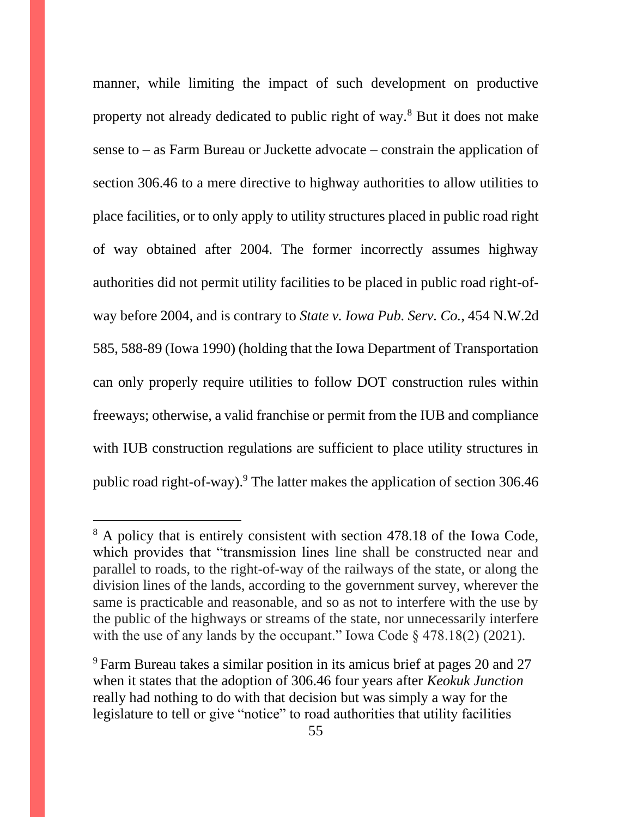manner, while limiting the impact of such development on productive property not already dedicated to public right of way.<sup>8</sup> But it does not make sense to – as Farm Bureau or Juckette advocate – constrain the application of section 306.46 to a mere directive to highway authorities to allow utilities to place facilities, or to only apply to utility structures placed in public road right of way obtained after 2004. The former incorrectly assumes highway authorities did not permit utility facilities to be placed in public road right-ofway before 2004, and is contrary to *State v. Iowa Pub. Serv. Co.*, 454 N.W.2d 585, 588-89 (Iowa 1990) (holding that the Iowa Department of Transportation can only properly require utilities to follow DOT construction rules within freeways; otherwise, a valid franchise or permit from the IUB and compliance with IUB construction regulations are sufficient to place utility structures in public road right-of-way).<sup>9</sup> The latter makes the application of section 306.46

<sup>&</sup>lt;sup>8</sup> A policy that is entirely consistent with section 478.18 of the Iowa Code, which provides that "transmission lines line shall be constructed near and parallel to roads, to the right-of-way of the railways of the state, or along the division lines of the lands, according to the government survey, wherever the same is practicable and reasonable, and so as not to interfere with the use by the public of the highways or streams of the state, nor unnecessarily interfere with the use of any lands by the occupant." Iowa Code § 478.18(2) (2021).

 $9$  Farm Bureau takes a similar position in its amicus brief at pages 20 and 27 when it states that the adoption of 306.46 four years after *Keokuk Junction* really had nothing to do with that decision but was simply a way for the legislature to tell or give "notice" to road authorities that utility facilities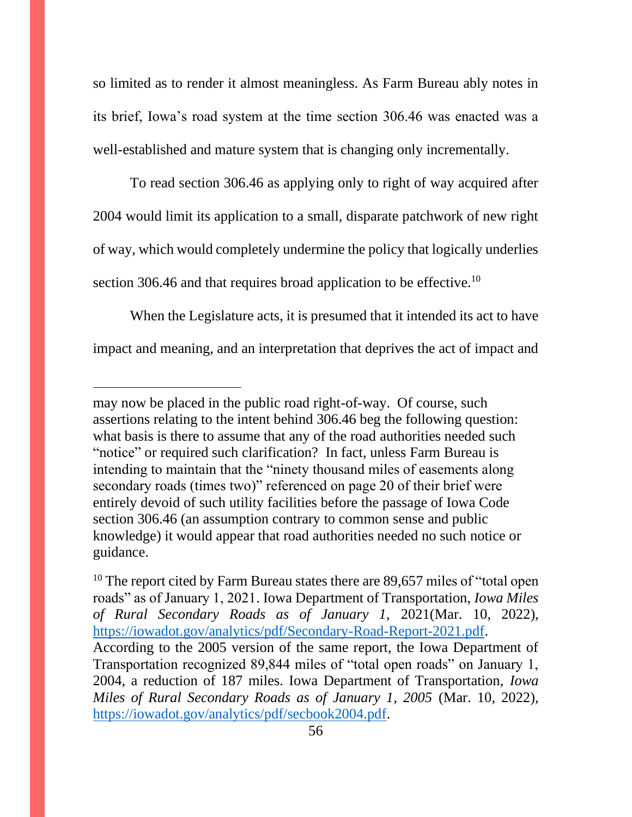so limited as to render it almost meaningless. As Farm Bureau ably notes in its brief, Iowa's road system at the time section 306.46 was enacted was a well-established and mature system that is changing only incrementally.

To read section 306.46 as applying only to right of way acquired after 2004 would limit its application to a small, disparate patchwork of new right of way, which would completely undermine the policy that logically underlies section 306.46 and that requires broad application to be effective.<sup>10</sup>

When the Legislature acts, it is presumed that it intended its act to have impact and meaning, and an interpretation that deprives the act of impact and

may now be placed in the public road right-of-way. Of course, such assertions relating to the intent behind 306.46 beg the following question: what basis is there to assume that any of the road authorities needed such "notice" or required such clarification? In fact, unless Farm Bureau is intending to maintain that the "ninety thousand miles of easements along secondary roads (times two)" referenced on page 20 of their brief were entirely devoid of such utility facilities before the passage of Iowa Code section 306.46 (an assumption contrary to common sense and public knowledge) it would appear that road authorities needed no such notice or guidance.

<sup>&</sup>lt;sup>10</sup> The report cited by Farm Bureau states there are 89,657 miles of "total open" roads" as of January 1, 2021. Iowa Department of Transportation, *Iowa Miles of Rural Secondary Roads as of January 1,* 2021(Mar. 10, 2022), [https://iowadot.gov/analytics/pdf/Secondary-Road-Report-2021.pdf.](https://iowadot.gov/analytics/pdf/Secondary-Road-Report-2021.pdf) According to the 2005 version of the same report, the Iowa Department of Transportation recognized 89,844 miles of "total open roads" on January 1, 2004, a reduction of 187 miles. Iowa Department of Transportation, *Iowa Miles of Rural Secondary Roads as of January 1, 2005* (Mar. 10, 2022), [https://iowadot.gov/analytics/pdf/secbook2004.pdf.](https://iowadot.gov/analytics/pdf/secbook2004.pdf)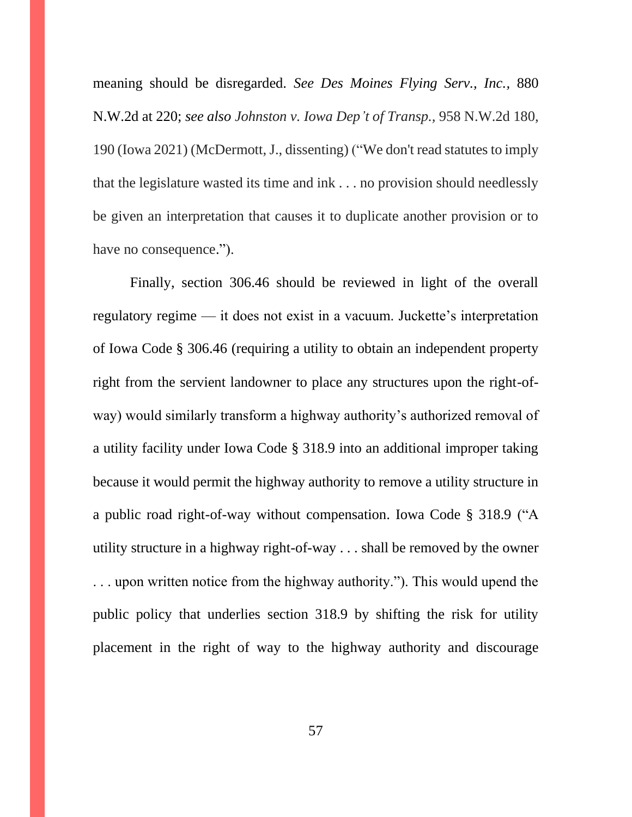meaning should be disregarded. *See Des Moines Flying Serv., Inc.,* 880 N.W.2d at 220; *see also Johnston v. Iowa Dep't of Transp.,* 958 N.W.2d 180, 190 (Iowa 2021) (McDermott, J., dissenting) ("We don't read statutes to imply that the legislature wasted its time and ink . . . no provision should needlessly be given an interpretation that causes it to duplicate another provision or to have no consequence.").

Finally, section 306.46 should be reviewed in light of the overall regulatory regime — it does not exist in a vacuum. Juckette's interpretation of Iowa Code § 306.46 (requiring a utility to obtain an independent property right from the servient landowner to place any structures upon the right-ofway) would similarly transform a highway authority's authorized removal of a utility facility under Iowa Code § 318.9 into an additional improper taking because it would permit the highway authority to remove a utility structure in a public road right-of-way without compensation. Iowa Code § 318.9 ("A utility structure in a highway right-of-way . . . shall be removed by the owner . . . upon written notice from the highway authority."). This would upend the public policy that underlies section 318.9 by shifting the risk for utility placement in the right of way to the highway authority and discourage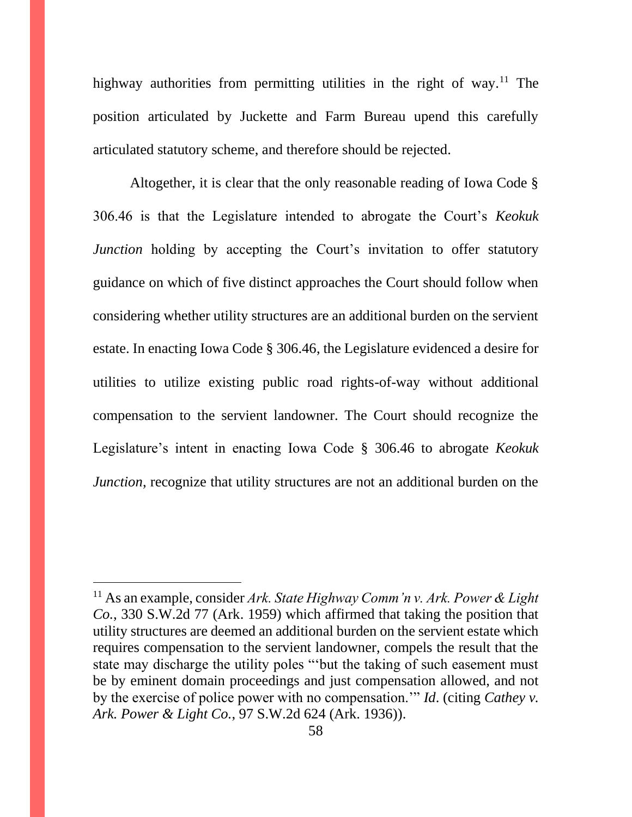highway authorities from permitting utilities in the right of way.<sup>11</sup> The position articulated by Juckette and Farm Bureau upend this carefully articulated statutory scheme, and therefore should be rejected.

Altogether, it is clear that the only reasonable reading of Iowa Code § 306.46 is that the Legislature intended to abrogate the Court's *Keokuk Junction* holding by accepting the Court's invitation to offer statutory guidance on which of five distinct approaches the Court should follow when considering whether utility structures are an additional burden on the servient estate. In enacting Iowa Code § 306.46, the Legislature evidenced a desire for utilities to utilize existing public road rights-of-way without additional compensation to the servient landowner. The Court should recognize the Legislature's intent in enacting Iowa Code § 306.46 to abrogate *Keokuk Junction*, recognize that utility structures are not an additional burden on the

<sup>11</sup> As an example, consider *Ark. State Highway Comm'n v. Ark. Power & Light Co.*, 330 S.W.2d 77 (Ark. 1959) which affirmed that taking the position that utility structures are deemed an additional burden on the servient estate which requires compensation to the servient landowner, compels the result that the state may discharge the utility poles "'but the taking of such easement must be by eminent domain proceedings and just compensation allowed, and not by the exercise of police power with no compensation.'" *Id*. (citing *Cathey v. Ark. Power & Light Co.*, 97 S.W.2d 624 (Ark. 1936)).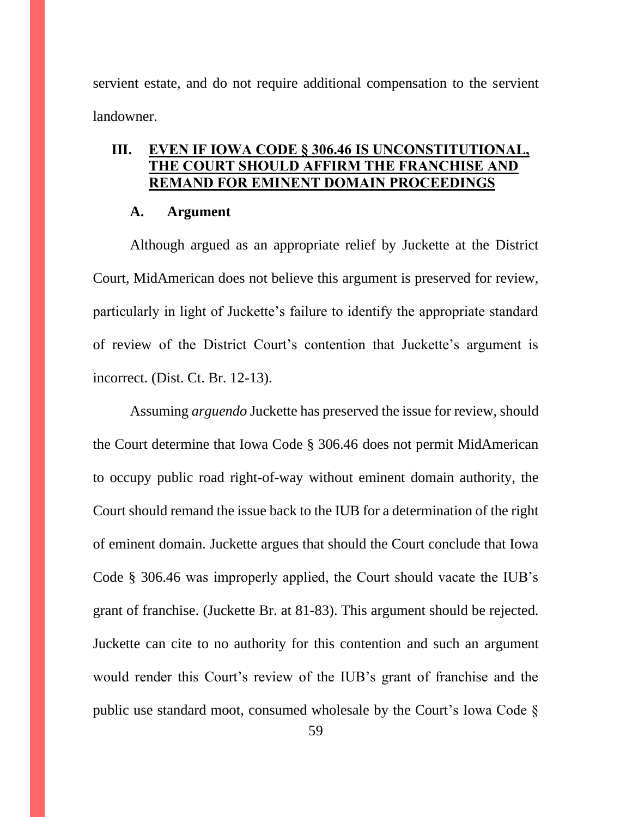servient estate, and do not require additional compensation to the servient landowner.

# <span id="page-58-0"></span>**III. EVEN IF IOWA CODE § 306.46 IS UNCONSTITUTIONAL, THE COURT SHOULD AFFIRM THE FRANCHISE AND REMAND FOR EMINENT DOMAIN PROCEEDINGS**

#### **A. Argument**

<span id="page-58-1"></span>Although argued as an appropriate relief by Juckette at the District Court, MidAmerican does not believe this argument is preserved for review, particularly in light of Juckette's failure to identify the appropriate standard of review of the District Court's contention that Juckette's argument is incorrect. (Dist. Ct. Br. 12-13).

Assuming *arguendo* Juckette has preserved the issue for review, should the Court determine that Iowa Code § 306.46 does not permit MidAmerican to occupy public road right-of-way without eminent domain authority, the Court should remand the issue back to the IUB for a determination of the right of eminent domain. Juckette argues that should the Court conclude that Iowa Code § 306.46 was improperly applied, the Court should vacate the IUB's grant of franchise. (Juckette Br. at 81-83). This argument should be rejected. Juckette can cite to no authority for this contention and such an argument would render this Court's review of the IUB's grant of franchise and the public use standard moot, consumed wholesale by the Court's Iowa Code §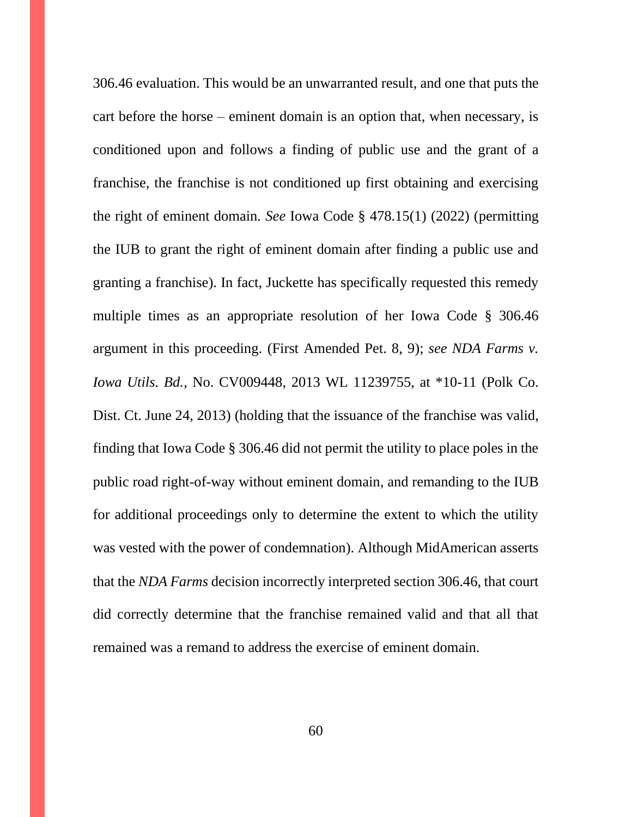306.46 evaluation. This would be an unwarranted result, and one that puts the cart before the horse – eminent domain is an option that, when necessary, is conditioned upon and follows a finding of public use and the grant of a franchise, the franchise is not conditioned up first obtaining and exercising the right of eminent domain. *See* Iowa Code § 478.15(1) (2022) (permitting the IUB to grant the right of eminent domain after finding a public use and granting a franchise). In fact, Juckette has specifically requested this remedy multiple times as an appropriate resolution of her Iowa Code § 306.46 argument in this proceeding. (First Amended Pet. 8, 9); *see NDA Farms v. Iowa Utils. Bd.*, No. CV009448, 2013 WL 11239755, at \*10-11 (Polk Co. Dist. Ct. June 24, 2013) (holding that the issuance of the franchise was valid, finding that Iowa Code § 306.46 did not permit the utility to place poles in the public road right-of-way without eminent domain, and remanding to the IUB for additional proceedings only to determine the extent to which the utility was vested with the power of condemnation). Although MidAmerican asserts that the *NDA Farms* decision incorrectly interpreted section 306.46, that court did correctly determine that the franchise remained valid and that all that remained was a remand to address the exercise of eminent domain.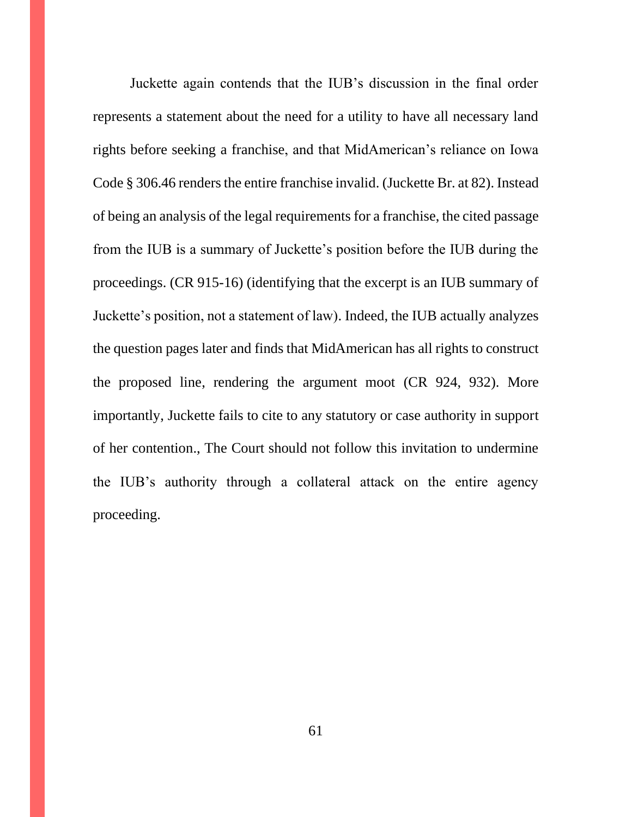Juckette again contends that the IUB's discussion in the final order represents a statement about the need for a utility to have all necessary land rights before seeking a franchise, and that MidAmerican's reliance on Iowa Code § 306.46 renders the entire franchise invalid. (Juckette Br. at 82). Instead of being an analysis of the legal requirements for a franchise, the cited passage from the IUB is a summary of Juckette's position before the IUB during the proceedings. (CR 915-16) (identifying that the excerpt is an IUB summary of Juckette's position, not a statement of law). Indeed, the IUB actually analyzes the question pages later and finds that MidAmerican has all rights to construct the proposed line, rendering the argument moot (CR 924, 932). More importantly, Juckette fails to cite to any statutory or case authority in support of her contention., The Court should not follow this invitation to undermine the IUB's authority through a collateral attack on the entire agency proceeding.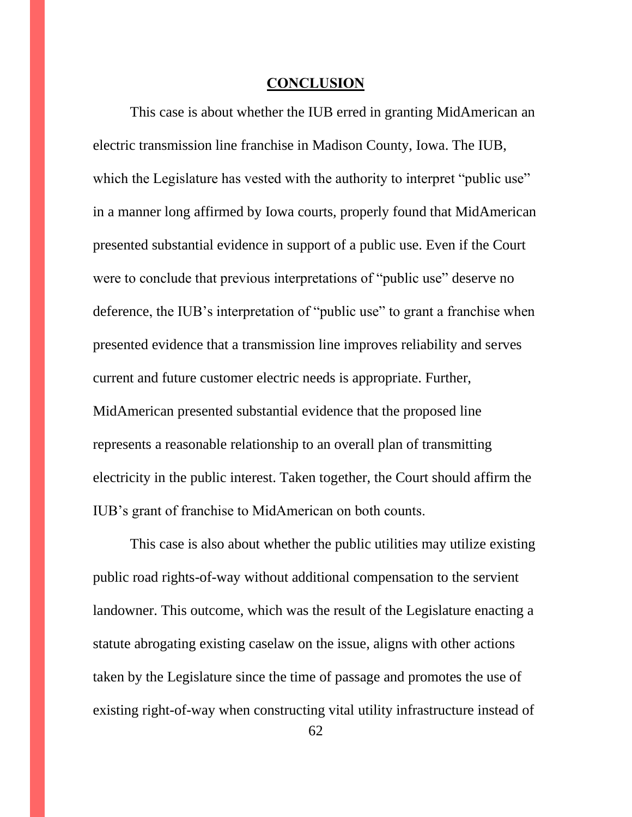#### **CONCLUSION**

<span id="page-61-0"></span>This case is about whether the IUB erred in granting MidAmerican an electric transmission line franchise in Madison County, Iowa. The IUB, which the Legislature has vested with the authority to interpret "public use" in a manner long affirmed by Iowa courts, properly found that MidAmerican presented substantial evidence in support of a public use. Even if the Court were to conclude that previous interpretations of "public use" deserve no deference, the IUB's interpretation of "public use" to grant a franchise when presented evidence that a transmission line improves reliability and serves current and future customer electric needs is appropriate. Further, MidAmerican presented substantial evidence that the proposed line represents a reasonable relationship to an overall plan of transmitting electricity in the public interest. Taken together, the Court should affirm the IUB's grant of franchise to MidAmerican on both counts.

This case is also about whether the public utilities may utilize existing public road rights-of-way without additional compensation to the servient landowner. This outcome, which was the result of the Legislature enacting a statute abrogating existing caselaw on the issue, aligns with other actions taken by the Legislature since the time of passage and promotes the use of existing right-of-way when constructing vital utility infrastructure instead of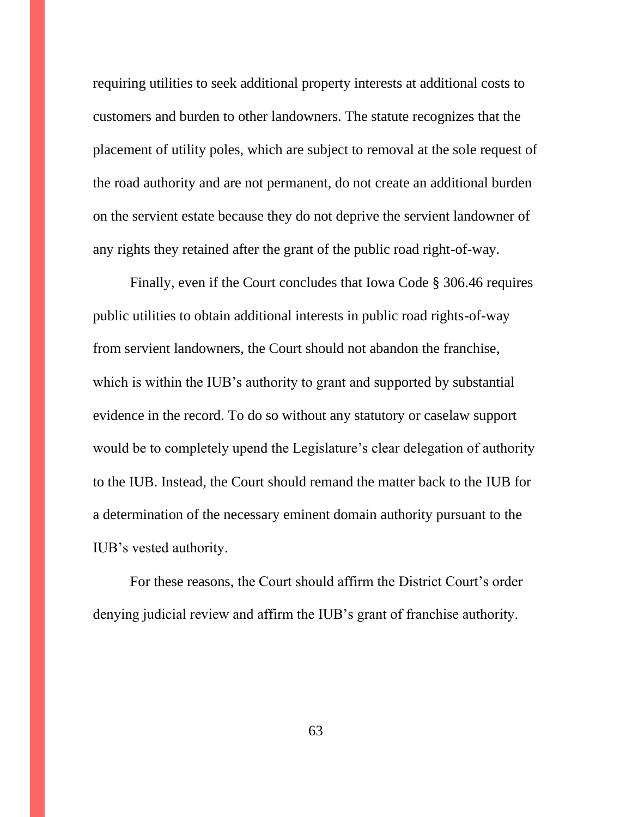requiring utilities to seek additional property interests at additional costs to customers and burden to other landowners. The statute recognizes that the placement of utility poles, which are subject to removal at the sole request of the road authority and are not permanent, do not create an additional burden on the servient estate because they do not deprive the servient landowner of any rights they retained after the grant of the public road right-of-way.

Finally, even if the Court concludes that Iowa Code § 306.46 requires public utilities to obtain additional interests in public road rights-of-way from servient landowners, the Court should not abandon the franchise, which is within the IUB's authority to grant and supported by substantial evidence in the record. To do so without any statutory or caselaw support would be to completely upend the Legislature's clear delegation of authority to the IUB. Instead, the Court should remand the matter back to the IUB for a determination of the necessary eminent domain authority pursuant to the IUB's vested authority.

For these reasons, the Court should affirm the District Court's order denying judicial review and affirm the IUB's grant of franchise authority.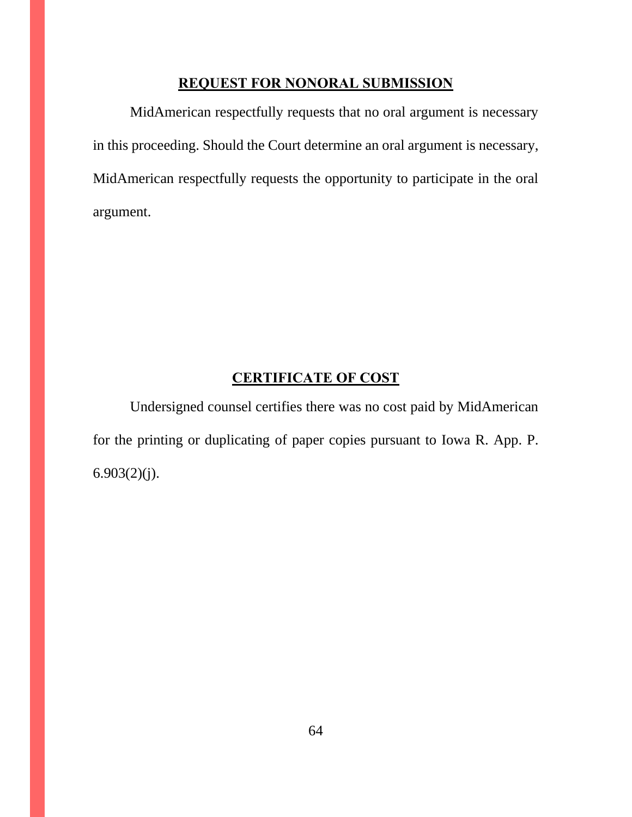### **REQUEST FOR NONORAL SUBMISSION**

<span id="page-63-0"></span>MidAmerican respectfully requests that no oral argument is necessary in this proceeding. Should the Court determine an oral argument is necessary, MidAmerican respectfully requests the opportunity to participate in the oral argument.

# **CERTIFICATE OF COST**

<span id="page-63-1"></span>Undersigned counsel certifies there was no cost paid by MidAmerican for the printing or duplicating of paper copies pursuant to Iowa R. App. P. 6.903(2)(j).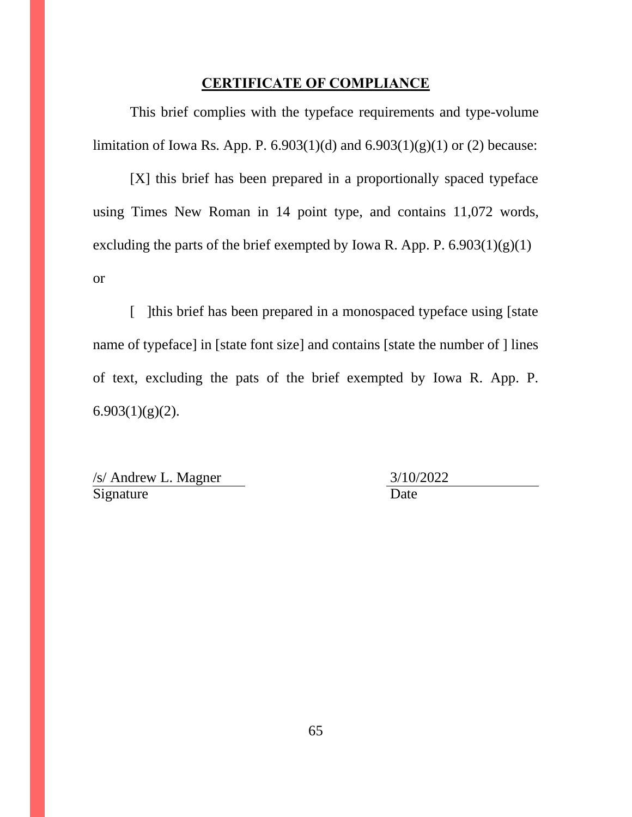#### **CERTIFICATE OF COMPLIANCE**

<span id="page-64-0"></span>This brief complies with the typeface requirements and type-volume limitation of Iowa Rs. App. P. 6.903(1)(d) and  $6.903(1)(g)(1)$  or (2) because:

[X] this brief has been prepared in a proportionally spaced typeface using Times New Roman in 14 point type, and contains 11,072 words, excluding the parts of the brief exempted by Iowa R. App. P.  $6.903(1)(g)(1)$ or

[ ] [this brief has been prepared in a monospaced typeface using [state] name of typeface] in [state font size] and contains [state the number of ] lines of text, excluding the pats of the brief exempted by Iowa R. App. P.  $6.903(1)(g)(2)$ .

/s/ Andrew L. Magner 3/10/2022 Signature Date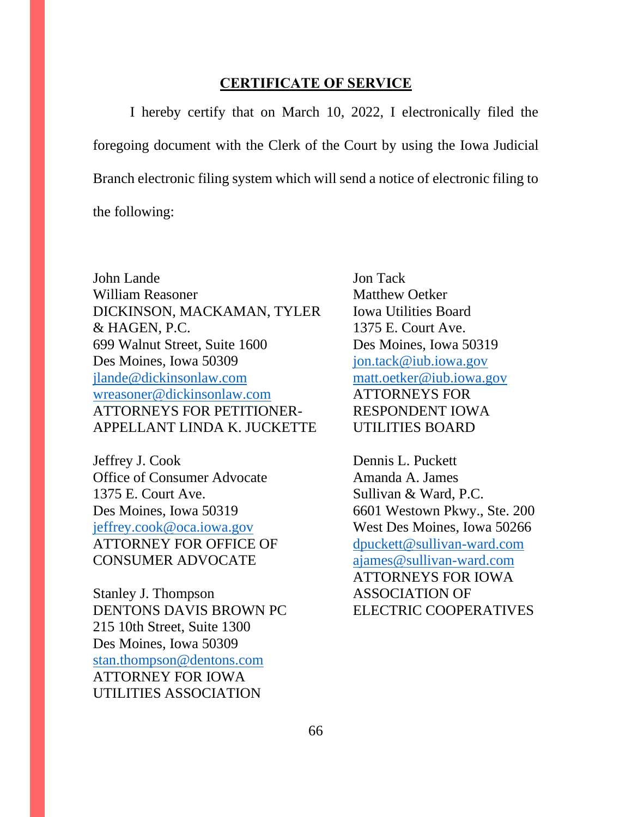#### **CERTIFICATE OF SERVICE**

I hereby certify that on March 10, 2022, I electronically filed the foregoing document with the Clerk of the Court by using the Iowa Judicial Branch electronic filing system which will send a notice of electronic filing to the following:

John Lande Jon Tack William Reasoner Matthew Oetker DICKINSON, MACKAMAN, TYLER Iowa Utilities Board & HAGEN, P.C. 1375 E. Court Ave. 699 Walnut Street, Suite 1600 Des Moines, Iowa 50319 Des Moines, Iowa 50309 [jon.tack@iub.iowa.gov](mailto:jon.tack@iub.iowa.gov) [jlande@dickinsonlaw.com](mailto:jlande@dickinsonlaw.com) [matt.oetker@iub.iowa.gov](mailto:matt.oetker@iub.iowa.gov) [wreasoner@dickinsonlaw.com](mailto:wreasoner@dickinsonlaw.com) ATTORNEYS FOR ATTORNEYS FOR PETITIONER- RESPONDENT IOWA APPELLANT LINDA K. JUCKETTE UTILITIES BOARD

Jeffrey J. Cook Dennis L. Puckett Office of Consumer Advocate Amanda A. James 1375 E. Court Ave. Sullivan & Ward, P.C. Des Moines, Iowa 50319 6601 Westown Pkwy., Ste. 200 [jeffrey.cook@oca.iowa.gov](mailto:jeffrey.cook@oca.iowa.gov) West Des Moines, Iowa 50266 ATTORNEY FOR OFFICE OF [dpuckett@sullivan-ward.com](mailto:dpuckett@sullivan-ward.com) CONSUMER ADVOCATE [ajames@sullivan-ward.com](mailto:ajames@sullivan-ward.com)

Stanley J. Thompson ASSOCIATION OF DENTONS DAVIS BROWN PC ELECTRIC COOPERATIVES 215 10th Street, Suite 1300 Des Moines, Iowa 50309 [stan.thompson@dentons.com](mailto:stan.thompson@dentons.com) ATTORNEY FOR IOWA UTILITIES ASSOCIATION

ATTORNEYS FOR IOWA